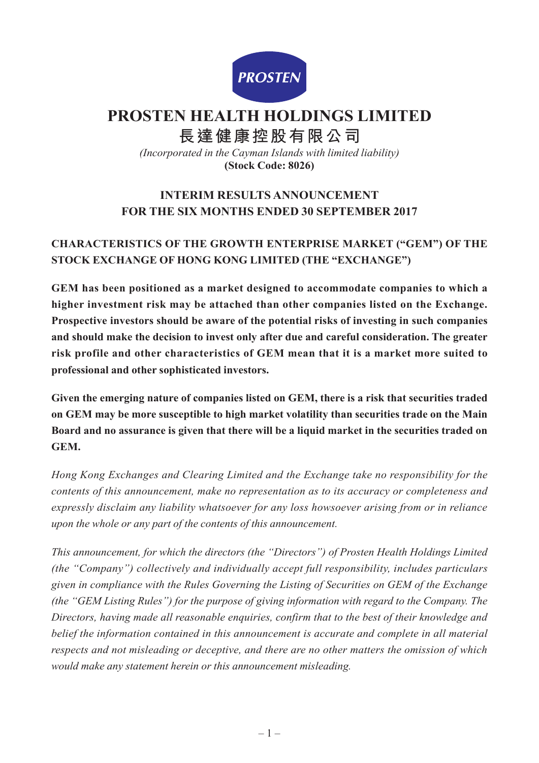

# **PROSTEN HEALTH HOLDINGS LIMITED**

**長達健康控股有限公司**

*(Incorporated in the Cayman Islands with limited liability)* **(Stock Code: 8026)**

## **INTERIM RESULTS ANNOUNCEMENT FOR THE SIX MONTHS ENDED 30 SEPTEMBER 2017**

## **CHARACTERISTICS OF THE GROWTH ENTERPRISE MARKET ("GEM") OF THE STOCK EXCHANGE OF HONG KONG LIMITED (THE "EXCHANGE")**

**GEM has been positioned as a market designed to accommodate companies to which a higher investment risk may be attached than other companies listed on the Exchange. Prospective investors should be aware of the potential risks of investing in such companies and should make the decision to invest only after due and careful consideration. The greater risk profile and other characteristics of GEM mean that it is a market more suited to professional and other sophisticated investors.**

**Given the emerging nature of companies listed on GEM, there is a risk that securities traded on GEM may be more susceptible to high market volatility than securities trade on the Main Board and no assurance is given that there will be a liquid market in the securities traded on GEM.**

*Hong Kong Exchanges and Clearing Limited and the Exchange take no responsibility for the contents of this announcement, make no representation as to its accuracy or completeness and expressly disclaim any liability whatsoever for any loss howsoever arising from or in reliance upon the whole or any part of the contents of this announcement.*

*This announcement, for which the directors (the "Directors") of Prosten Health Holdings Limited (the "Company") collectively and individually accept full responsibility, includes particulars given in compliance with the Rules Governing the Listing of Securities on GEM of the Exchange (the "GEM Listing Rules") for the purpose of giving information with regard to the Company. The Directors, having made all reasonable enquiries, confirm that to the best of their knowledge and belief the information contained in this announcement is accurate and complete in all material respects and not misleading or deceptive, and there are no other matters the omission of which would make any statement herein or this announcement misleading.*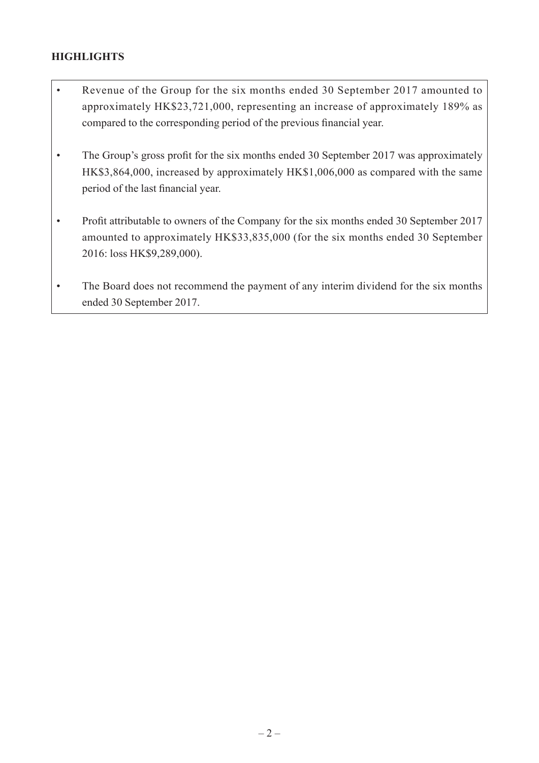### **HIGHLIGHTS**

- Revenue of the Group for the six months ended 30 September 2017 amounted to approximately HK\$23,721,000, representing an increase of approximately 189% as compared to the corresponding period of the previous financial year.
- The Group's gross profit for the six months ended 30 September 2017 was approximately HK\$3,864,000, increased by approximately HK\$1,006,000 as compared with the same period of the last financial year.
- Profit attributable to owners of the Company for the six months ended 30 September 2017 amounted to approximately HK\$33,835,000 (for the six months ended 30 September 2016: loss HK\$9,289,000).
- The Board does not recommend the payment of any interim dividend for the six months ended 30 September 2017.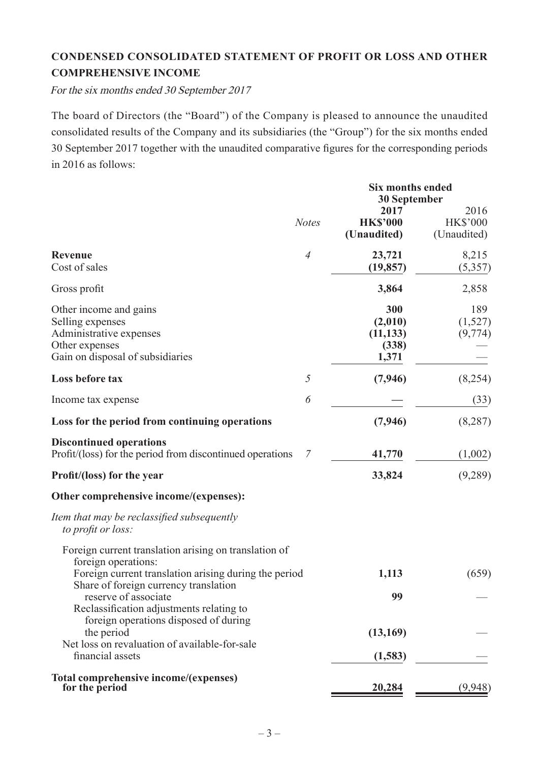## **CONDENSED CONSOLIDATED STATEMENT OF PROFIT OR LOSS AND OTHER COMPREHENSIVE INCOME**

For the six months ended 30 September 2017

The board of Directors (the "Board") of the Company is pleased to announce the unaudited consolidated results of the Company and its subsidiaries (the "Group") for the six months ended 30 September 2017 together with the unaudited comparative figures for the corresponding periods in 2016 as follows:

|                                                                                                                                                                                |                | <b>Six months ended</b><br><b>30 September</b> |                                        |
|--------------------------------------------------------------------------------------------------------------------------------------------------------------------------------|----------------|------------------------------------------------|----------------------------------------|
|                                                                                                                                                                                | <b>Notes</b>   | 2017<br><b>HK\$'000</b><br>(Unaudited)         | 2016<br><b>HK\$'000</b><br>(Unaudited) |
| <b>Revenue</b><br>Cost of sales                                                                                                                                                | $\overline{4}$ | 23,721<br>(19, 857)                            | 8,215<br>(5,357)                       |
| Gross profit                                                                                                                                                                   |                | 3,864                                          | 2,858                                  |
| Other income and gains<br>Selling expenses<br>Administrative expenses<br>Other expenses<br>Gain on disposal of subsidiaries                                                    |                | 300<br>(2,010)<br>(11, 133)<br>(338)<br>1,371  | 189<br>(1,527)<br>(9, 774)             |
| Loss before tax                                                                                                                                                                | $\sqrt{2}$     | (7, 946)                                       | (8,254)                                |
| Income tax expense                                                                                                                                                             | 6              |                                                | (33)                                   |
| Loss for the period from continuing operations                                                                                                                                 |                | (7, 946)                                       | (8, 287)                               |
| <b>Discontinued operations</b><br>Profit/(loss) for the period from discontinued operations                                                                                    | 7              | 41,770                                         | (1,002)                                |
| Profit/(loss) for the year                                                                                                                                                     |                | 33,824                                         | (9,289)                                |
| Other comprehensive income/(expenses):                                                                                                                                         |                |                                                |                                        |
| Item that may be reclassified subsequently<br>to profit or loss:                                                                                                               |                |                                                |                                        |
| Foreign current translation arising on translation of<br>foreign operations:<br>Foreign current translation arising during the period<br>Share of foreign currency translation |                | 1,113                                          | (659)                                  |
| reserve of associate                                                                                                                                                           |                | 99                                             |                                        |
| Reclassification adjustments relating to<br>foreign operations disposed of during<br>the period<br>Net loss on revaluation of available-for-sale<br>financial assets           |                | (13,169)<br>(1,583)                            |                                        |
| Total comprehensive income/(expenses)<br>for the period                                                                                                                        |                | 20,284                                         | (9,948)                                |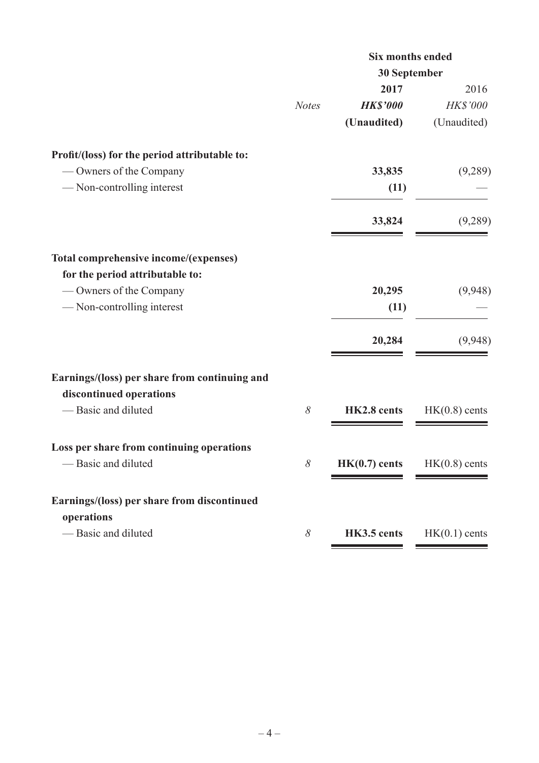|                                               |              | <b>Six months ended</b> |                 |  |  |
|-----------------------------------------------|--------------|-------------------------|-----------------|--|--|
|                                               |              | 30 September            |                 |  |  |
|                                               |              | 2017                    | 2016            |  |  |
|                                               | <b>Notes</b> | <b>HK\$'000</b>         | HK\$'000        |  |  |
|                                               |              | (Unaudited)             | (Unaudited)     |  |  |
| Profit/(loss) for the period attributable to: |              |                         |                 |  |  |
| — Owners of the Company                       |              | 33,835                  | (9,289)         |  |  |
| -Non-controlling interest                     |              | (11)                    |                 |  |  |
|                                               |              | 33,824                  | (9,289)         |  |  |
| Total comprehensive income/(expenses)         |              |                         |                 |  |  |
| for the period attributable to:               |              |                         |                 |  |  |
| — Owners of the Company                       |              | 20,295                  | (9,948)         |  |  |
| -Non-controlling interest                     |              | (11)                    |                 |  |  |
|                                               |              | 20,284                  | (9,948)         |  |  |
| Earnings/(loss) per share from continuing and |              |                         |                 |  |  |
| discontinued operations                       |              |                         |                 |  |  |
| -Basic and diluted                            | $\delta$     | HK2.8 cents             | $HK(0.8)$ cents |  |  |
| Loss per share from continuing operations     |              |                         |                 |  |  |
| — Basic and diluted                           | 8            | $HK(0.7)$ cents         | $HK(0.8)$ cents |  |  |
| Earnings/(loss) per share from discontinued   |              |                         |                 |  |  |
| operations                                    |              |                         |                 |  |  |
| — Basic and diluted                           | 8            | HK3.5 cents             | $HK(0.1)$ cents |  |  |
|                                               |              |                         |                 |  |  |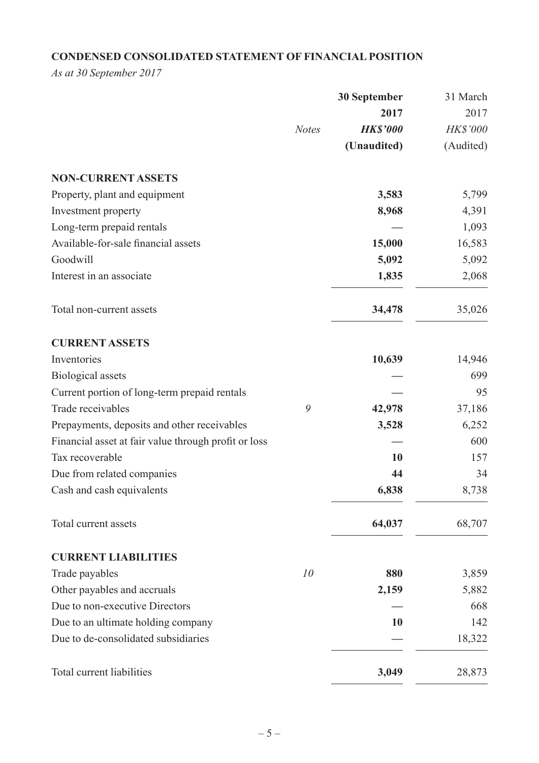## **CONDENSED CONSOLIDATED STATEMENT OF FINANCIAL POSITION**

*As at 30 September 2017*

|                                                      |              | <b>30 September</b> | 31 March  |
|------------------------------------------------------|--------------|---------------------|-----------|
|                                                      |              | 2017                | 2017      |
|                                                      | <b>Notes</b> | <b>HK\$'000</b>     | HK\$'000  |
|                                                      |              | (Unaudited)         | (Audited) |
| <b>NON-CURRENT ASSETS</b>                            |              |                     |           |
| Property, plant and equipment                        |              | 3,583               | 5,799     |
| Investment property                                  |              | 8,968               | 4,391     |
| Long-term prepaid rentals                            |              |                     | 1,093     |
| Available-for-sale financial assets                  |              | 15,000              | 16,583    |
| Goodwill                                             |              | 5,092               | 5,092     |
| Interest in an associate                             |              | 1,835               | 2,068     |
| Total non-current assets                             |              | 34,478              | 35,026    |
| <b>CURRENT ASSETS</b>                                |              |                     |           |
| Inventories                                          |              | 10,639              | 14,946    |
| <b>Biological</b> assets                             |              |                     | 699       |
| Current portion of long-term prepaid rentals         |              |                     | 95        |
| Trade receivables                                    | 9            | 42,978              | 37,186    |
| Prepayments, deposits and other receivables          |              | 3,528               | 6,252     |
| Financial asset at fair value through profit or loss |              |                     | 600       |
| Tax recoverable                                      |              | 10                  | 157       |
| Due from related companies                           |              | 44                  | 34        |
| Cash and cash equivalents                            |              | 6,838               | 8,738     |
| Total current assets                                 |              | 64,037              | 68,707    |
| <b>CURRENT LIABILITIES</b>                           |              |                     |           |
| Trade payables                                       | 10           | 880                 | 3,859     |
| Other payables and accruals                          |              | 2,159               | 5,882     |
| Due to non-executive Directors                       |              |                     | 668       |
| Due to an ultimate holding company                   |              | 10                  | 142       |
| Due to de-consolidated subsidiaries                  |              |                     | 18,322    |
| Total current liabilities                            |              | 3,049               | 28,873    |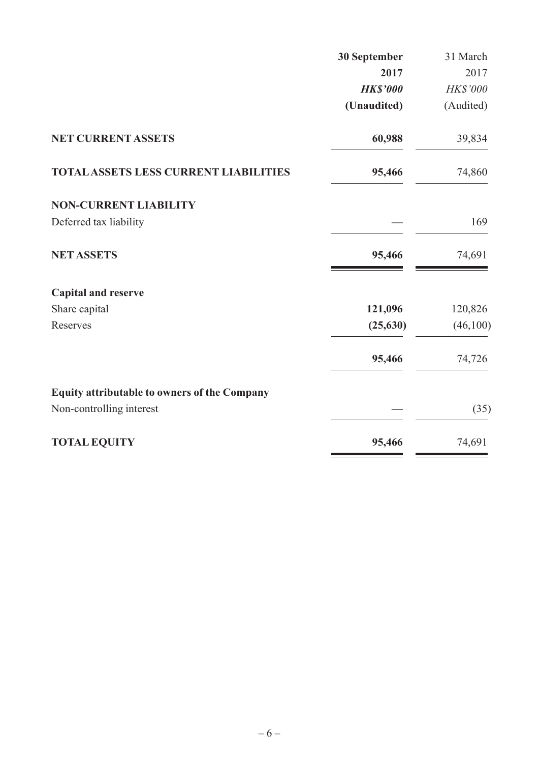| 30 September    | 31 March  |
|-----------------|-----------|
| 2017            | 2017      |
| <b>HK\$'000</b> | HK\$'000  |
| (Unaudited)     | (Audited) |
| 60,988          | 39,834    |
| 95,466          | 74,860    |
|                 |           |
|                 | 169       |
| 95,466          | 74,691    |
|                 |           |
| 121,096         | 120,826   |
| (25, 630)       | (46,100)  |
| 95,466          | 74,726    |
|                 |           |
|                 | (35)      |
| 95,466          | 74,691    |
|                 |           |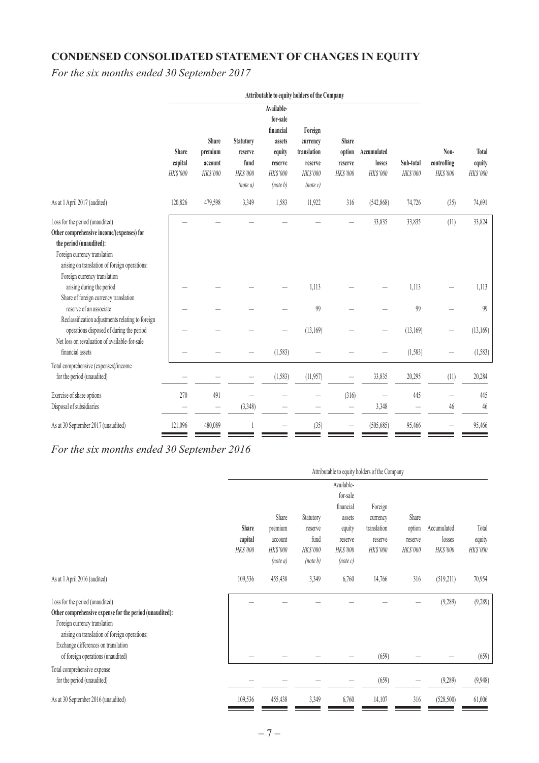# **CONDENSED CONSOLIDATED STATEMENT OF CHANGES IN EQUITY**

*For the six months ended 30 September 2017*

|                                                                                                                                                                                                                          | Attributable to equity holders of the Company |                                         |                                                      |                                                                                            |                                                                             |                                        |                                   |                       |                                 |                             |
|--------------------------------------------------------------------------------------------------------------------------------------------------------------------------------------------------------------------------|-----------------------------------------------|-----------------------------------------|------------------------------------------------------|--------------------------------------------------------------------------------------------|-----------------------------------------------------------------------------|----------------------------------------|-----------------------------------|-----------------------|---------------------------------|-----------------------------|
|                                                                                                                                                                                                                          | Share<br>capital<br>HK\$'000                  | Share<br>premium<br>account<br>HK\$'000 | Statutory<br>reserve<br>fund<br>HK\$'000<br>(note a) | Available-<br>for-sale<br>financial<br>assets<br>equity<br>reserve<br>HK\$'000<br>(note b) | Foreign<br>currency<br>translation<br>reserve<br><b>HKS'000</b><br>(note c) | Share<br>option<br>reserve<br>HK\$'000 | Accumulated<br>losses<br>HK\$'000 | Sub-total<br>HK\$'000 | Non-<br>controlling<br>HK\$'000 | Total<br>equity<br>HK\$'000 |
| As at 1 April 2017 (audited)                                                                                                                                                                                             | 120,826                                       | 479,598                                 | 3,349                                                | 1,583                                                                                      | 11,922                                                                      | 316                                    | (542,868)                         | 74,726                | (35)                            | 74,691                      |
| Loss for the period (unaudited)<br>Other comprehensive income/(expenses) for<br>the period (unaudited):<br>Foreign currency translation<br>arising on translation of foreign operations:<br>Foreign currency translation |                                               |                                         |                                                      |                                                                                            |                                                                             |                                        | 33,835                            | 33,835                | (11)                            | 33,824                      |
| arising during the period<br>Share of foreign currency translation                                                                                                                                                       |                                               |                                         |                                                      |                                                                                            | 1,113                                                                       |                                        |                                   | 1,113                 |                                 | 1,113                       |
| reserve of an associate<br>Reclassification adjustments relating to foreign<br>operations disposed of during the period                                                                                                  |                                               |                                         |                                                      |                                                                                            | 99<br>(13,169)                                                              |                                        |                                   | 99<br>(13,169)        |                                 | 99<br>(13, 169)             |
| Net loss on revaluation of available-for-sale<br>financial assets                                                                                                                                                        |                                               |                                         |                                                      | (1,583)                                                                                    |                                                                             |                                        |                                   | (1, 583)              |                                 | (1, 583)                    |
| Total comprehensive (expenses)/income<br>for the period (unaudited)                                                                                                                                                      |                                               |                                         |                                                      | (1, 583)                                                                                   | (11,957)                                                                    |                                        | 33,835                            | 20,295                | (11)                            | 20,284                      |
| Exercise of share options<br>Disposal of subsidiaries                                                                                                                                                                    | 270                                           | 491<br>-                                | (3,348)                                              |                                                                                            |                                                                             | (316)                                  | 3,348                             | 445                   | 46                              | 445<br>46                   |
| As at 30 September 2017 (unaudited)                                                                                                                                                                                      | 121,096                                       | 480,089                                 |                                                      |                                                                                            | (35)                                                                        |                                        | (505, 685)                        | 95,466                |                                 | 95,466                      |

### *For the six months ended 30 September 2016*

|                                                                                                                                                                                                                    | Attributable to equity holders of the Company |                                        |                                     |                                                         |                                    |                     |                    |                    |
|--------------------------------------------------------------------------------------------------------------------------------------------------------------------------------------------------------------------|-----------------------------------------------|----------------------------------------|-------------------------------------|---------------------------------------------------------|------------------------------------|---------------------|--------------------|--------------------|
|                                                                                                                                                                                                                    | <b>Share</b>                                  | Share<br>premium                       | Statutory<br>reserve                | Available-<br>for-sale<br>financial<br>assets<br>equity | Foreign<br>currency<br>translation | Share<br>option     | Accumulated        | Total              |
|                                                                                                                                                                                                                    | capital<br>HK\$'000                           | account<br><b>HK\$'000</b><br>(note a) | fund<br><b>HK\$'000</b><br>(note b) | reserve<br>HK\$'000<br>(note c)                         | reserve<br>HK\$'000                | reserve<br>HK\$'000 | losses<br>HK\$'000 | equity<br>HK\$'000 |
| As at 1 April 2016 (audited)                                                                                                                                                                                       | 109,536                                       | 455,438                                | 3,349                               | 6,760                                                   | 14,766                             | 316                 | (519,211)          | 70,954             |
| Loss for the period (unaudited)<br>Other comprehensive expense for the period (unaudited):<br>Foreign currency translation<br>arising on translation of foreign operations:<br>Exchange differences on translation |                                               |                                        |                                     |                                                         |                                    |                     | (9, 289)           | (9, 289)           |
| of foreign operations (unaudited)                                                                                                                                                                                  |                                               |                                        |                                     |                                                         | (659)                              |                     |                    | (659)              |
| Total comprehensive expense<br>for the period (unaudited)                                                                                                                                                          |                                               |                                        |                                     |                                                         | (659)                              |                     | (9,289)            | (9,948)            |
| As at 30 September 2016 (unaudited)                                                                                                                                                                                | 109,536                                       | 455,438                                | 3,349                               | 6,760                                                   | 14,107                             | 316                 | (528, 500)         | 61,006             |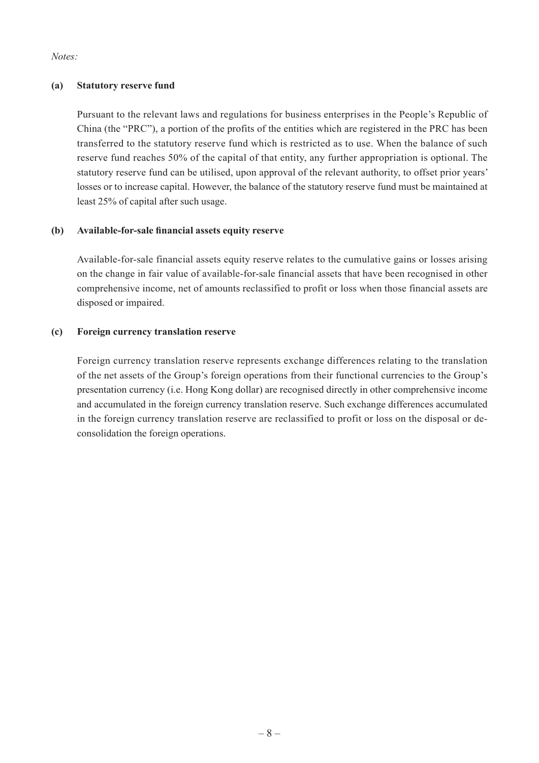*Notes:*

#### **(a) Statutory reserve fund**

Pursuant to the relevant laws and regulations for business enterprises in the People's Republic of China (the "PRC"), a portion of the profits of the entities which are registered in the PRC has been transferred to the statutory reserve fund which is restricted as to use. When the balance of such reserve fund reaches 50% of the capital of that entity, any further appropriation is optional. The statutory reserve fund can be utilised, upon approval of the relevant authority, to offset prior years' losses or to increase capital. However, the balance of the statutory reserve fund must be maintained at least 25% of capital after such usage.

#### **(b) Available-for-sale financial assets equity reserve**

Available-for-sale financial assets equity reserve relates to the cumulative gains or losses arising on the change in fair value of available-for-sale financial assets that have been recognised in other comprehensive income, net of amounts reclassified to profit or loss when those financial assets are disposed or impaired.

#### **(c) Foreign currency translation reserve**

Foreign currency translation reserve represents exchange differences relating to the translation of the net assets of the Group's foreign operations from their functional currencies to the Group's presentation currency (i.e. Hong Kong dollar) are recognised directly in other comprehensive income and accumulated in the foreign currency translation reserve. Such exchange differences accumulated in the foreign currency translation reserve are reclassified to profit or loss on the disposal or deconsolidation the foreign operations.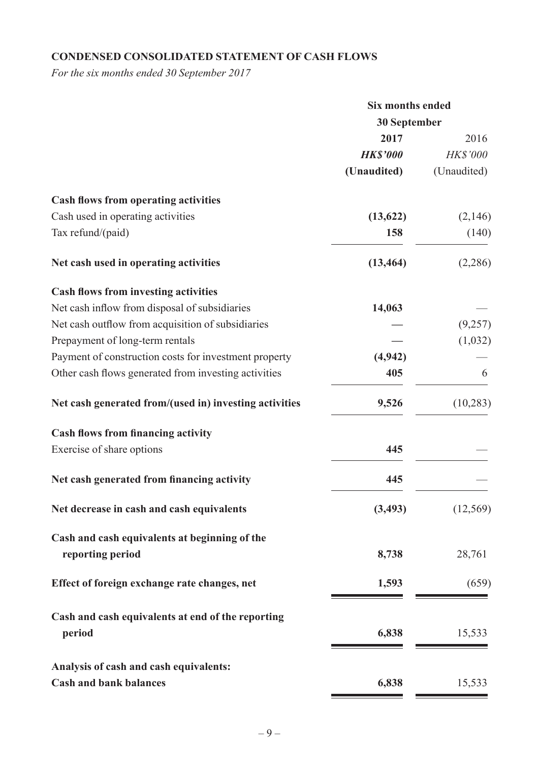## **CONDENSED CONSOLIDATED STATEMENT OF CASH FLOWS**

*For the six months ended 30 September 2017*

|                                                                   | <b>Six months ended</b><br>30 September |                 |  |
|-------------------------------------------------------------------|-----------------------------------------|-----------------|--|
|                                                                   |                                         |                 |  |
|                                                                   | 2017                                    | 2016            |  |
|                                                                   | <b>HK\$'000</b>                         | <b>HK\$'000</b> |  |
|                                                                   | (Unaudited)                             | (Unaudited)     |  |
| <b>Cash flows from operating activities</b>                       |                                         |                 |  |
| Cash used in operating activities                                 | (13, 622)                               | (2,146)         |  |
| Tax refund/(paid)                                                 | 158                                     | (140)           |  |
| Net cash used in operating activities                             | (13, 464)                               | (2,286)         |  |
| <b>Cash flows from investing activities</b>                       |                                         |                 |  |
| Net cash inflow from disposal of subsidiaries                     | 14,063                                  |                 |  |
| Net cash outflow from acquisition of subsidiaries                 |                                         | (9,257)         |  |
| Prepayment of long-term rentals                                   |                                         | (1,032)         |  |
| Payment of construction costs for investment property             | (4, 942)                                |                 |  |
| Other cash flows generated from investing activities              | 405                                     | 6               |  |
| Net cash generated from/(used in) investing activities            | 9,526                                   | (10, 283)       |  |
| <b>Cash flows from financing activity</b>                         |                                         |                 |  |
| Exercise of share options                                         | 445                                     |                 |  |
| Net cash generated from financing activity                        | 445                                     |                 |  |
| Net decrease in cash and cash equivalents                         | (3, 493)                                | (12, 569)       |  |
| Cash and cash equivalents at beginning of the<br>reporting period | 8,738                                   | 28,761          |  |
| Effect of foreign exchange rate changes, net                      | 1,593                                   | (659)           |  |
| Cash and cash equivalents at end of the reporting<br>period       | 6,838                                   | 15,533          |  |
| Analysis of cash and cash equivalents:                            |                                         |                 |  |
| <b>Cash and bank balances</b>                                     | 6,838                                   | 15,533          |  |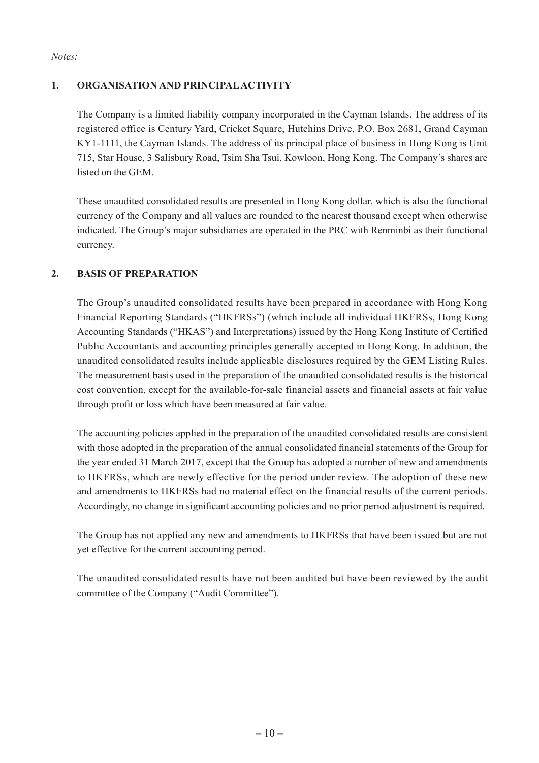*Notes:*

#### **1. ORGANISATION AND PRINCIPAL ACTIVITY**

The Company is a limited liability company incorporated in the Cayman Islands. The address of its registered office is Century Yard, Cricket Square, Hutchins Drive, P.O. Box 2681, Grand Cayman KY1-1111, the Cayman Islands. The address of its principal place of business in Hong Kong is Unit 715, Star House, 3 Salisbury Road, Tsim Sha Tsui, Kowloon, Hong Kong. The Company's shares are listed on the GEM.

These unaudited consolidated results are presented in Hong Kong dollar, which is also the functional currency of the Company and all values are rounded to the nearest thousand except when otherwise indicated. The Group's major subsidiaries are operated in the PRC with Renminbi as their functional currency.

#### **2. BASIS OF PREPARATION**

The Group's unaudited consolidated results have been prepared in accordance with Hong Kong Financial Reporting Standards ("HKFRSs") (which include all individual HKFRSs, Hong Kong Accounting Standards ("HKAS") and Interpretations) issued by the Hong Kong Institute of Certified Public Accountants and accounting principles generally accepted in Hong Kong. In addition, the unaudited consolidated results include applicable disclosures required by the GEM Listing Rules. The measurement basis used in the preparation of the unaudited consolidated results is the historical cost convention, except for the available-for-sale financial assets and financial assets at fair value through profit or loss which have been measured at fair value.

The accounting policies applied in the preparation of the unaudited consolidated results are consistent with those adopted in the preparation of the annual consolidated financial statements of the Group for the year ended 31 March 2017, except that the Group has adopted a number of new and amendments to HKFRSs, which are newly effective for the period under review. The adoption of these new and amendments to HKFRSs had no material effect on the financial results of the current periods. Accordingly, no change in significant accounting policies and no prior period adjustment is required.

The Group has not applied any new and amendments to HKFRSs that have been issued but are not yet effective for the current accounting period.

The unaudited consolidated results have not been audited but have been reviewed by the audit committee of the Company ("Audit Committee").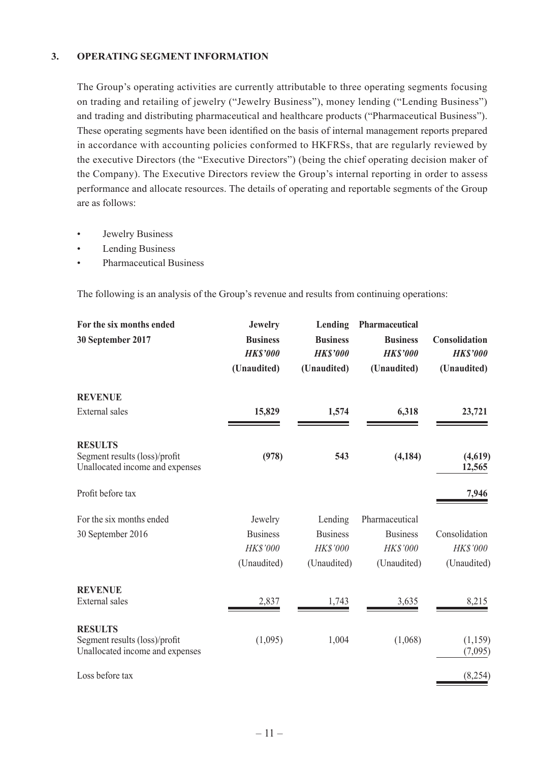#### **3. OPERATING SEGMENT INFORMATION**

The Group's operating activities are currently attributable to three operating segments focusing on trading and retailing of jewelry ("Jewelry Business"), money lending ("Lending Business") and trading and distributing pharmaceutical and healthcare products ("Pharmaceutical Business"). These operating segments have been identified on the basis of internal management reports prepared in accordance with accounting policies conformed to HKFRSs, that are regularly reviewed by the executive Directors (the "Executive Directors") (being the chief operating decision maker of the Company). The Executive Directors review the Group's internal reporting in order to assess performance and allocate resources. The details of operating and reportable segments of the Group are as follows:

- Jewelry Business
- Lending Business
- • Pharmaceutical Business

The following is an analysis of the Group's revenue and results from continuing operations:

| For the six months ended<br>30 September 2017                                      | <b>Jewelry</b><br><b>Business</b><br><b>HKS'000</b><br>(Unaudited) | Lending<br><b>Business</b><br><b>HKS'000</b><br>(Unaudited) | Pharmaceutical<br><b>Business</b><br><b>HK\$'000</b><br>(Unaudited) | Consolidation<br><b>HK\$'000</b><br>(Unaudited) |
|------------------------------------------------------------------------------------|--------------------------------------------------------------------|-------------------------------------------------------------|---------------------------------------------------------------------|-------------------------------------------------|
| <b>REVENUE</b>                                                                     |                                                                    |                                                             |                                                                     |                                                 |
| <b>External sales</b>                                                              | 15,829                                                             | 1,574                                                       | 6,318                                                               | 23,721                                          |
| <b>RESULTS</b><br>Segment results (loss)/profit<br>Unallocated income and expenses | (978)                                                              | 543                                                         | (4, 184)                                                            | (4,619)<br>12,565                               |
| Profit before tax                                                                  |                                                                    |                                                             |                                                                     | 7,946                                           |
| For the six months ended<br>30 September 2016                                      | Jewelry<br><b>Business</b><br>HK\$'000<br>(Unaudited)              | Lending<br><b>Business</b><br>HK\$'000<br>(Unaudited)       | Pharmaceutical<br><b>Business</b><br>HK\$'000<br>(Unaudited)        | Consolidation<br>HK\$'000<br>(Unaudited)        |
| <b>REVENUE</b><br><b>External sales</b>                                            | 2,837                                                              | 1,743                                                       | 3,635                                                               | 8,215                                           |
| <b>RESULTS</b><br>Segment results (loss)/profit<br>Unallocated income and expenses | (1,095)                                                            | 1,004                                                       | (1,068)                                                             | (1,159)<br>(7,095)                              |
| Loss before tax                                                                    |                                                                    |                                                             |                                                                     | (8,254)                                         |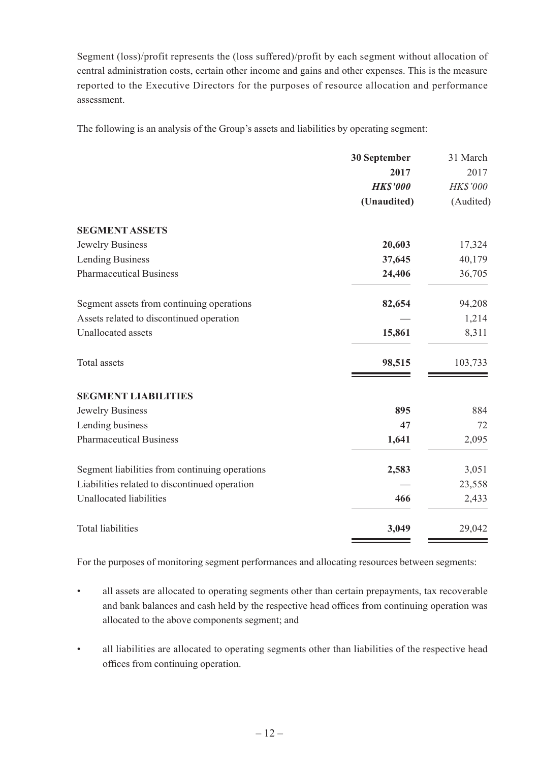Segment (loss)/profit represents the (loss suffered)/profit by each segment without allocation of central administration costs, certain other income and gains and other expenses. This is the measure reported to the Executive Directors for the purposes of resource allocation and performance assessment.

The following is an analysis of the Group's assets and liabilities by operating segment:

|                                                | 30 September    | 31 March        |
|------------------------------------------------|-----------------|-----------------|
|                                                | 2017            | 2017            |
|                                                | <b>HK\$'000</b> | <b>HK\$'000</b> |
|                                                | (Unaudited)     | (Audited)       |
| <b>SEGMENT ASSETS</b>                          |                 |                 |
| Jewelry Business                               | 20,603          | 17,324          |
| <b>Lending Business</b>                        | 37,645          | 40,179          |
| <b>Pharmaceutical Business</b>                 | 24,406          | 36,705          |
| Segment assets from continuing operations      | 82,654          | 94,208          |
| Assets related to discontinued operation       |                 | 1,214           |
| <b>Unallocated</b> assets                      | 15,861          | 8,311           |
| Total assets                                   | 98,515          | 103,733         |
| <b>SEGMENT LIABILITIES</b>                     |                 |                 |
| Jewelry Business                               | 895             | 884             |
| Lending business                               | 47              | 72              |
| <b>Pharmaceutical Business</b>                 | 1,641           | 2,095           |
| Segment liabilities from continuing operations | 2,583           | 3,051           |
| Liabilities related to discontinued operation  |                 | 23,558          |
| <b>Unallocated liabilities</b>                 | 466             | 2,433           |
| <b>Total liabilities</b>                       | 3,049           | 29,042          |

For the purposes of monitoring segment performances and allocating resources between segments:

- all assets are allocated to operating segments other than certain prepayments, tax recoverable and bank balances and cash held by the respective head offices from continuing operation was allocated to the above components segment; and
- all liabilities are allocated to operating segments other than liabilities of the respective head offices from continuing operation.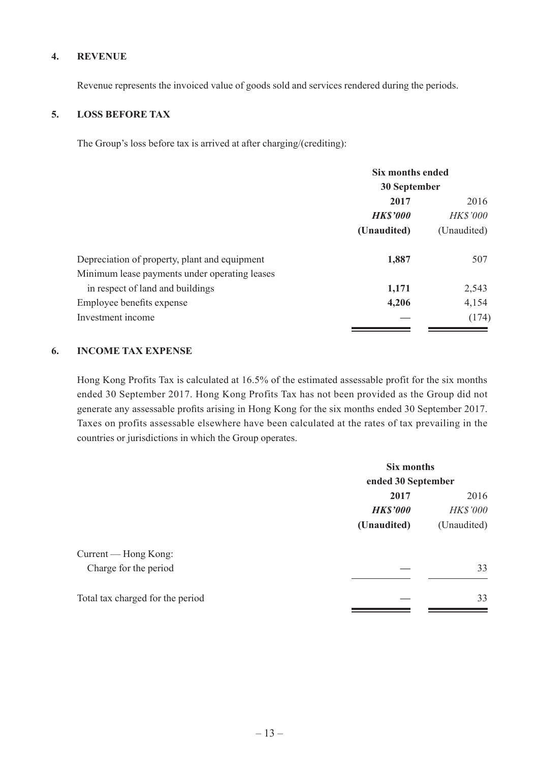#### **4. REVENUE**

Revenue represents the invoiced value of goods sold and services rendered during the periods.

#### **5. LOSS BEFORE TAX**

The Group's loss before tax is arrived at after charging/(crediting):

|                                               | <b>Six months ended</b><br>30 September |             |                 |
|-----------------------------------------------|-----------------------------------------|-------------|-----------------|
|                                               |                                         |             |                 |
|                                               | 2017                                    | 2016        |                 |
|                                               | <b>HK\$'000</b>                         |             | <b>HK\$'000</b> |
|                                               | (Unaudited)                             | (Unaudited) |                 |
| Depreciation of property, plant and equipment | 1,887                                   | 507         |                 |
| Minimum lease payments under operating leases |                                         |             |                 |
| in respect of land and buildings              | 1,171                                   | 2,543       |                 |
| Employee benefits expense                     | 4,206                                   | 4,154       |                 |
| Investment income                             |                                         | (174)       |                 |

#### **6. INCOME TAX EXPENSE**

Hong Kong Profits Tax is calculated at 16.5% of the estimated assessable profit for the six months ended 30 September 2017. Hong Kong Profits Tax has not been provided as the Group did not generate any assessable profits arising in Hong Kong for the six months ended 30 September 2017. Taxes on profits assessable elsewhere have been calculated at the rates of tax prevailing in the countries or jurisdictions in which the Group operates.

|                                  | Six months<br>ended 30 September |                 |  |
|----------------------------------|----------------------------------|-----------------|--|
|                                  |                                  |                 |  |
|                                  | 2017                             | 2016            |  |
|                                  | <b>HK\$'000</b>                  | <b>HK\$'000</b> |  |
|                                  | (Unaudited)                      | (Unaudited)     |  |
| Current — Hong Kong:             |                                  |                 |  |
| Charge for the period            |                                  | 33              |  |
| Total tax charged for the period |                                  | 33              |  |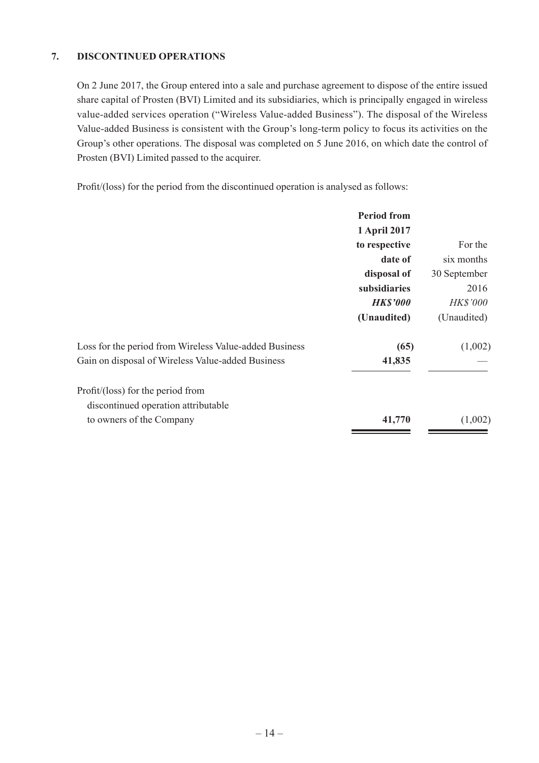#### **7. DISCONTINUED OPERATIONS**

On 2 June 2017, the Group entered into a sale and purchase agreement to dispose of the entire issued share capital of Prosten (BVI) Limited and its subsidiaries, which is principally engaged in wireless value-added services operation ("Wireless Value-added Business"). The disposal of the Wireless Value-added Business is consistent with the Group's long-term policy to focus its activities on the Group's other operations. The disposal was completed on 5 June 2016, on which date the control of Prosten (BVI) Limited passed to the acquirer.

Profit/(loss) for the period from the discontinued operation is analysed as follows:

|                                                        | <b>Period from</b> |              |
|--------------------------------------------------------|--------------------|--------------|
|                                                        | 1 April 2017       |              |
|                                                        | to respective      | For the      |
|                                                        | date of            | six months   |
|                                                        | disposal of        | 30 September |
|                                                        | subsidiaries       | 2016         |
|                                                        | <b>HK\$'000</b>    | HK\$'000     |
|                                                        | (Unaudited)        | (Unaudited)  |
| Loss for the period from Wireless Value-added Business | (65)               | (1,002)      |
| Gain on disposal of Wireless Value-added Business      | 41,835             |              |
| $Profit/ (loss)$ for the period from                   |                    |              |
| discontinued operation attributable                    |                    |              |
| to owners of the Company                               | 41,770             | (1,002)      |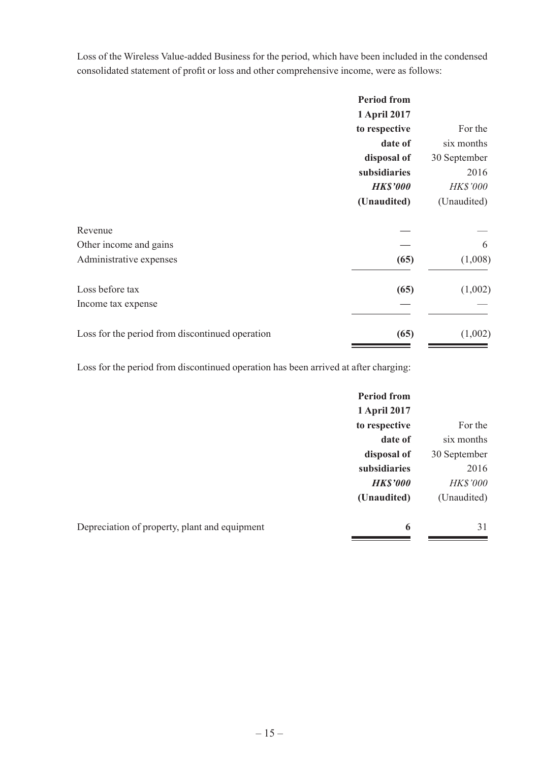Loss of the Wireless Value-added Business for the period, which have been included in the condensed consolidated statement of profit or loss and other comprehensive income, were as follows:

|                                                 | <b>Period from</b> |              |
|-------------------------------------------------|--------------------|--------------|
|                                                 | 1 April 2017       |              |
|                                                 | to respective      | For the      |
|                                                 | date of            | six months   |
|                                                 | disposal of        | 30 September |
|                                                 | subsidiaries       | 2016         |
|                                                 | <b>HK\$'000</b>    | HK\$'000     |
|                                                 | (Unaudited)        | (Unaudited)  |
| Revenue                                         |                    |              |
| Other income and gains                          |                    | 6            |
| Administrative expenses                         | (65)               | (1,008)      |
| Loss before tax                                 | (65)               | (1,002)      |
| Income tax expense                              |                    |              |
| Loss for the period from discontinued operation | (65)               | (1,002)      |

Loss for the period from discontinued operation has been arrived at after charging:

|                                               | <b>Period from</b> |                 |
|-----------------------------------------------|--------------------|-----------------|
|                                               | 1 April 2017       |                 |
|                                               | to respective      | For the         |
|                                               | date of            | six months      |
|                                               | disposal of        | 30 September    |
|                                               | subsidiaries       | 2016            |
|                                               | <b>HK\$'000</b>    | <b>HK\$'000</b> |
|                                               | (Unaudited)        | (Unaudited)     |
| Depreciation of property, plant and equipment | 6                  | 31              |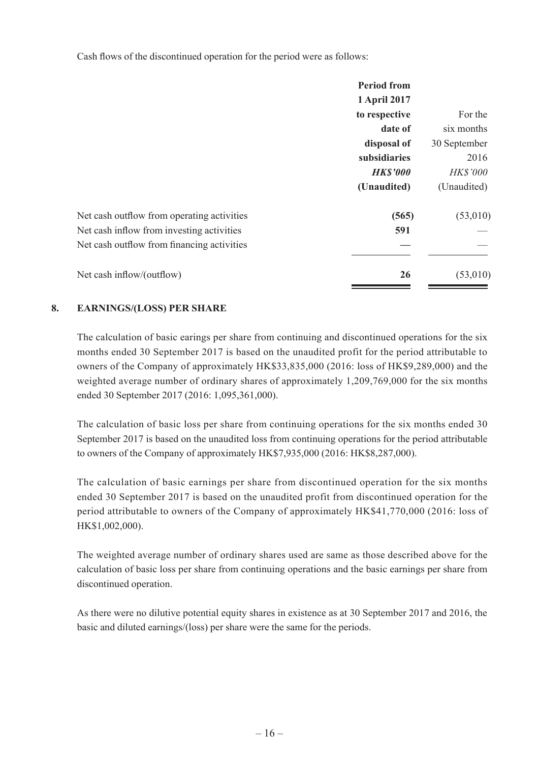Cash flows of the discontinued operation for the period were as follows:

|                                            | <b>Period from</b> |              |
|--------------------------------------------|--------------------|--------------|
|                                            | 1 April 2017       |              |
|                                            | to respective      | For the      |
|                                            | date of            | six months   |
|                                            | disposal of        | 30 September |
|                                            | subsidiaries       | 2016         |
|                                            | <b>HK\$'000</b>    | HK\$'000     |
|                                            | (Unaudited)        | (Unaudited)  |
| Net cash outflow from operating activities | (565)              | (53,010)     |
| Net cash inflow from investing activities  | 591                |              |
| Net cash outflow from financing activities |                    |              |
| Net cash inflow/(outflow)                  | 26                 | (53,010)     |
|                                            |                    |              |

#### **8. EARNINGS/(LOSS) PER SHARE**

The calculation of basic earings per share from continuing and discontinued operations for the six months ended 30 September 2017 is based on the unaudited profit for the period attributable to owners of the Company of approximately HK\$33,835,000 (2016: loss of HK\$9,289,000) and the weighted average number of ordinary shares of approximately 1,209,769,000 for the six months ended 30 September 2017 (2016: 1,095,361,000).

The calculation of basic loss per share from continuing operations for the six months ended 30 September 2017 is based on the unaudited loss from continuing operations for the period attributable to owners of the Company of approximately HK\$7,935,000 (2016: HK\$8,287,000).

The calculation of basic earnings per share from discontinued operation for the six months ended 30 September 2017 is based on the unaudited profit from discontinued operation for the period attributable to owners of the Company of approximately HK\$41,770,000 (2016: loss of HK\$1,002,000).

The weighted average number of ordinary shares used are same as those described above for the calculation of basic loss per share from continuing operations and the basic earnings per share from discontinued operation.

As there were no dilutive potential equity shares in existence as at 30 September 2017 and 2016, the basic and diluted earnings/(loss) per share were the same for the periods.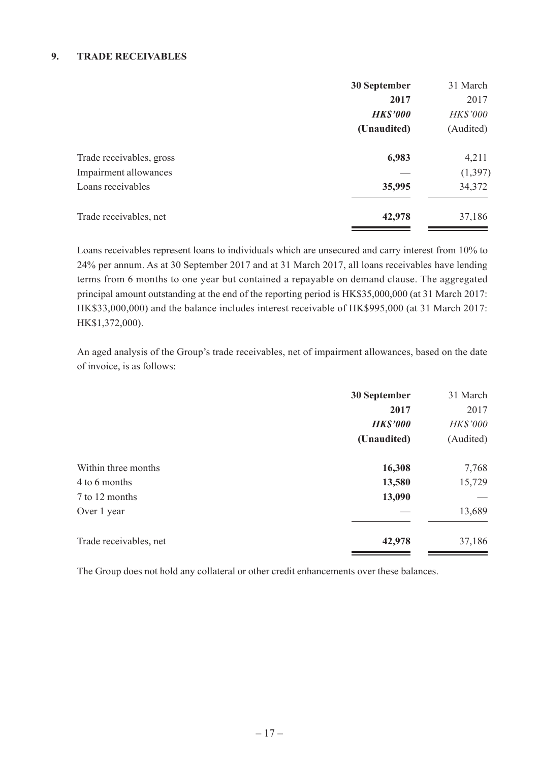#### **9. TRADE RECEIVABLES**

|                          | 30 September    | 31 March  |
|--------------------------|-----------------|-----------|
|                          | 2017            | 2017      |
|                          | <b>HK\$'000</b> | HK\$'000  |
|                          | (Unaudited)     | (Audited) |
| Trade receivables, gross | 6,983           | 4,211     |
| Impairment allowances    |                 | (1, 397)  |
| Loans receivables        | 35,995          | 34,372    |
| Trade receivables, net   | 42,978          | 37,186    |

Loans receivables represent loans to individuals which are unsecured and carry interest from 10% to 24% per annum. As at 30 September 2017 and at 31 March 2017, all loans receivables have lending terms from 6 months to one year but contained a repayable on demand clause. The aggregated principal amount outstanding at the end of the reporting period is HK\$35,000,000 (at 31 March 2017: HK\$33,000,000) and the balance includes interest receivable of HK\$995,000 (at 31 March 2017: HK\$1,372,000).

An aged analysis of the Group's trade receivables, net of impairment allowances, based on the date of invoice, is as follows:

|                        | 30 September    | 31 March  |
|------------------------|-----------------|-----------|
|                        | 2017            | 2017      |
|                        | <b>HK\$'000</b> | HK\$'000  |
|                        | (Unaudited)     | (Audited) |
| Within three months    | 16,308          | 7,768     |
| 4 to 6 months          | 13,580          | 15,729    |
| 7 to 12 months         | 13,090          |           |
| Over 1 year            |                 | 13,689    |
| Trade receivables, net | 42,978          | 37,186    |

The Group does not hold any collateral or other credit enhancements over these balances.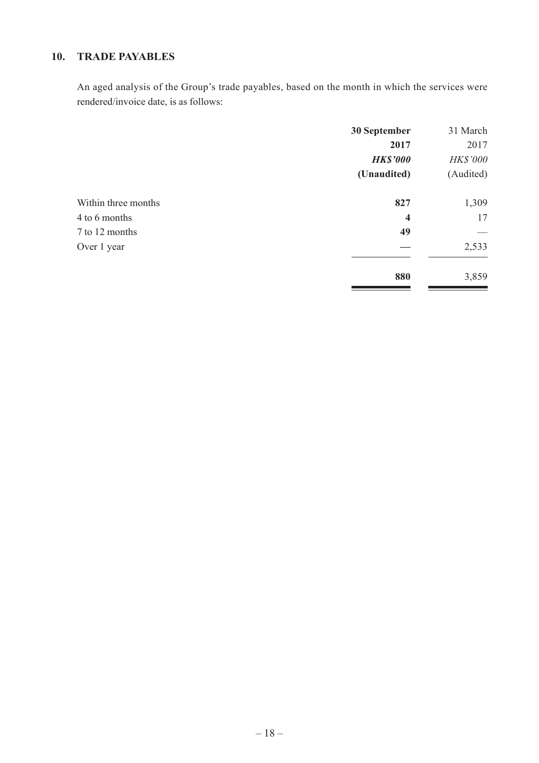## **10. TRADE PAYABLES**

An aged analysis of the Group's trade payables, based on the month in which the services were rendered/invoice date, is as follows:

| 30 September            | 31 March  |
|-------------------------|-----------|
| 2017                    | 2017      |
| <b>HK\$'000</b>         | HK\$'000  |
| (Unaudited)             | (Audited) |
| 827                     | 1,309     |
| $\overline{\mathbf{4}}$ | 17        |
| 49                      |           |
|                         | 2,533     |
| 880                     | 3,859     |
|                         |           |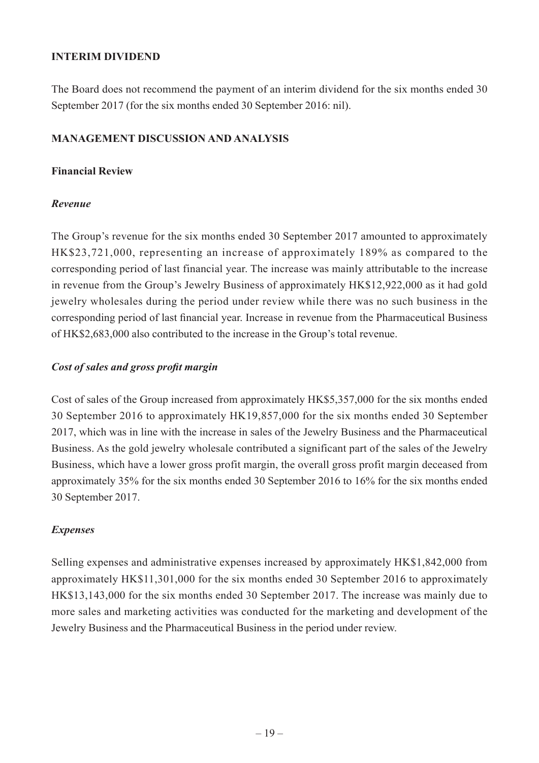#### **INTERIM DIVIDEND**

The Board does not recommend the payment of an interim dividend for the six months ended 30 September 2017 (for the six months ended 30 September 2016: nil).

#### **MANAGEMENT DISCUSSION AND ANALYSIS**

#### **Financial Review**

#### *Revenue*

The Group's revenue for the six months ended 30 September 2017 amounted to approximately HK\$23,721,000, representing an increase of approximately 189% as compared to the corresponding period of last financial year. The increase was mainly attributable to the increase in revenue from the Group's Jewelry Business of approximately HK\$12,922,000 as it had gold jewelry wholesales during the period under review while there was no such business in the corresponding period of last financial year. Increase in revenue from the Pharmaceutical Business of HK\$2,683,000 also contributed to the increase in the Group's total revenue.

#### *Cost of sales and gross profit margin*

Cost of sales of the Group increased from approximately HK\$5,357,000 for the six months ended 30 September 2016 to approximately HK19,857,000 for the six months ended 30 September 2017, which was in line with the increase in sales of the Jewelry Business and the Pharmaceutical Business. As the gold jewelry wholesale contributed a significant part of the sales of the Jewelry Business, which have a lower gross profit margin, the overall gross profit margin deceased from approximately 35% for the six months ended 30 September 2016 to 16% for the six months ended 30 September 2017.

### *Expenses*

Selling expenses and administrative expenses increased by approximately HK\$1,842,000 from approximately HK\$11,301,000 for the six months ended 30 September 2016 to approximately HK\$13,143,000 for the six months ended 30 September 2017. The increase was mainly due to more sales and marketing activities was conducted for the marketing and development of the Jewelry Business and the Pharmaceutical Business in the period under review.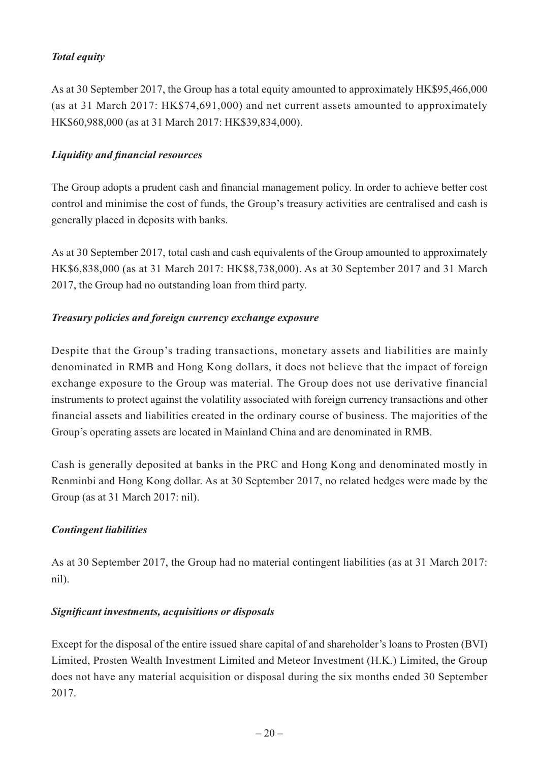## *Total equity*

As at 30 September 2017, the Group has a total equity amounted to approximately HK\$95,466,000 (as at 31 March 2017: HK\$74,691,000) and net current assets amounted to approximately HK\$60,988,000 (as at 31 March 2017: HK\$39,834,000).

#### *Liquidity and financial resources*

The Group adopts a prudent cash and financial management policy. In order to achieve better cost control and minimise the cost of funds, the Group's treasury activities are centralised and cash is generally placed in deposits with banks.

As at 30 September 2017, total cash and cash equivalents of the Group amounted to approximately HK\$6,838,000 (as at 31 March 2017: HK\$8,738,000). As at 30 September 2017 and 31 March 2017, the Group had no outstanding loan from third party.

#### *Treasury policies and foreign currency exchange exposure*

Despite that the Group's trading transactions, monetary assets and liabilities are mainly denominated in RMB and Hong Kong dollars, it does not believe that the impact of foreign exchange exposure to the Group was material. The Group does not use derivative financial instruments to protect against the volatility associated with foreign currency transactions and other financial assets and liabilities created in the ordinary course of business. The majorities of the Group's operating assets are located in Mainland China and are denominated in RMB.

Cash is generally deposited at banks in the PRC and Hong Kong and denominated mostly in Renminbi and Hong Kong dollar. As at 30 September 2017, no related hedges were made by the Group (as at 31 March 2017: nil).

### *Contingent liabilities*

As at 30 September 2017, the Group had no material contingent liabilities (as at 31 March 2017: nil).

#### *Significant investments, acquisitions or disposals*

Except for the disposal of the entire issued share capital of and shareholder's loans to Prosten (BVI) Limited, Prosten Wealth Investment Limited and Meteor Investment (H.K.) Limited, the Group does not have any material acquisition or disposal during the six months ended 30 September 2017.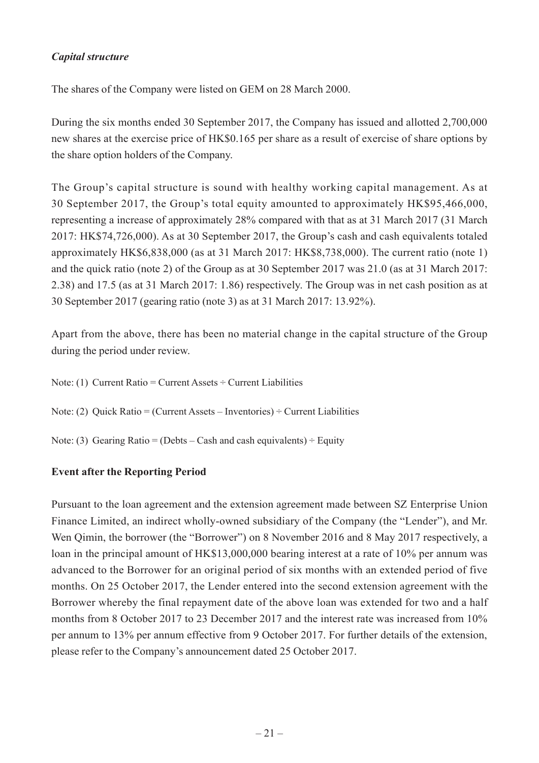### *Capital structure*

The shares of the Company were listed on GEM on 28 March 2000.

During the six months ended 30 September 2017, the Company has issued and allotted 2,700,000 new shares at the exercise price of HK\$0.165 per share as a result of exercise of share options by the share option holders of the Company.

The Group's capital structure is sound with healthy working capital management. As at 30 September 2017, the Group's total equity amounted to approximately HK\$95,466,000, representing a increase of approximately 28% compared with that as at 31 March 2017 (31 March 2017: HK\$74,726,000). As at 30 September 2017, the Group's cash and cash equivalents totaled approximately HK\$6,838,000 (as at 31 March 2017: HK\$8,738,000). The current ratio (note 1) and the quick ratio (note 2) of the Group as at 30 September 2017 was 21.0 (as at 31 March 2017: 2.38) and 17.5 (as at 31 March 2017: 1.86) respectively. The Group was in net cash position as at 30 September 2017 (gearing ratio (note 3) as at 31 March 2017: 13.92%).

Apart from the above, there has been no material change in the capital structure of the Group during the period under review.

Note: (1) Current Ratio = Current Assets  $\div$  Current Liabilities Note: (2) Quick Ratio = (Current Assets – Inventories) ÷ Current Liabilities Note: (3) Gearing Ratio = (Debts – Cash and cash equivalents)  $\div$  Equity

## **Event after the Reporting Period**

Pursuant to the loan agreement and the extension agreement made between SZ Enterprise Union Finance Limited, an indirect wholly-owned subsidiary of the Company (the "Lender"), and Mr. Wen Qimin, the borrower (the "Borrower") on 8 November 2016 and 8 May 2017 respectively, a loan in the principal amount of HK\$13,000,000 bearing interest at a rate of 10% per annum was advanced to the Borrower for an original period of six months with an extended period of five months. On 25 October 2017, the Lender entered into the second extension agreement with the Borrower whereby the final repayment date of the above loan was extended for two and a half months from 8 October 2017 to 23 December 2017 and the interest rate was increased from 10% per annum to 13% per annum effective from 9 October 2017. For further details of the extension, please refer to the Company's announcement dated 25 October 2017.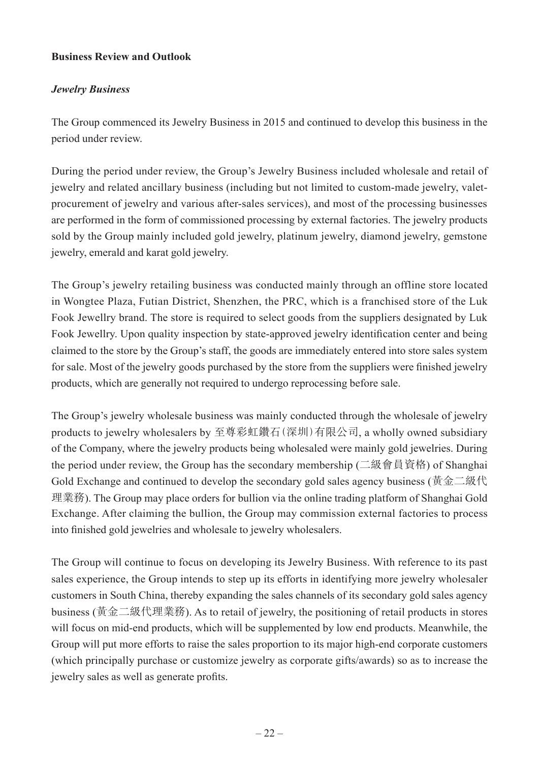#### **Business Review and Outlook**

### *Jewelry Business*

The Group commenced its Jewelry Business in 2015 and continued to develop this business in the period under review.

During the period under review, the Group's Jewelry Business included wholesale and retail of jewelry and related ancillary business (including but not limited to custom-made jewelry, valetprocurement of jewelry and various after-sales services), and most of the processing businesses are performed in the form of commissioned processing by external factories. The jewelry products sold by the Group mainly included gold jewelry, platinum jewelry, diamond jewelry, gemstone jewelry, emerald and karat gold jewelry.

The Group's jewelry retailing business was conducted mainly through an offline store located in Wongtee Plaza, Futian District, Shenzhen, the PRC, which is a franchised store of the Luk Fook Jewellry brand. The store is required to select goods from the suppliers designated by Luk Fook Jewellry. Upon quality inspection by state-approved jewelry identification center and being claimed to the store by the Group's staff, the goods are immediately entered into store sales system for sale. Most of the jewelry goods purchased by the store from the suppliers were finished jewelry products, which are generally not required to undergo reprocessing before sale.

The Group's jewelry wholesale business was mainly conducted through the wholesale of jewelry products to jewelry wholesalers by 至尊彩虹鑽石(深圳)有限公司, a wholly owned subsidiary of the Company, where the jewelry products being wholesaled were mainly gold jewelries. During the period under review, the Group has the secondary membership (二級會員資格) of Shanghai Gold Exchange and continued to develop the secondary gold sales agency business (黃金二級代 理業務). The Group may place orders for bullion via the online trading platform of Shanghai Gold Exchange. After claiming the bullion, the Group may commission external factories to process into finished gold jewelries and wholesale to jewelry wholesalers.

The Group will continue to focus on developing its Jewelry Business. With reference to its past sales experience, the Group intends to step up its efforts in identifying more jewelry wholesaler customers in South China, thereby expanding the sales channels of its secondary gold sales agency business (黃金二級代理業務). As to retail of jewelry, the positioning of retail products in stores will focus on mid-end products, which will be supplemented by low end products. Meanwhile, the Group will put more efforts to raise the sales proportion to its major high-end corporate customers (which principally purchase or customize jewelry as corporate gifts/awards) so as to increase the jewelry sales as well as generate profits.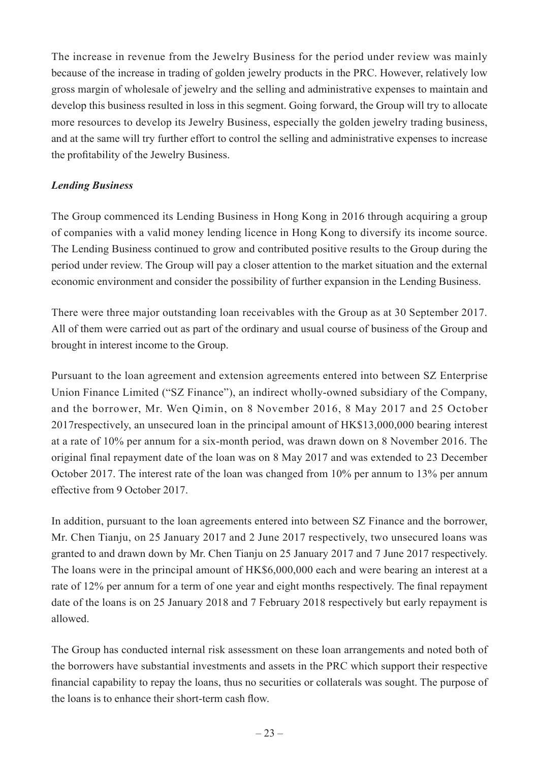The increase in revenue from the Jewelry Business for the period under review was mainly because of the increase in trading of golden jewelry products in the PRC. However, relatively low gross margin of wholesale of jewelry and the selling and administrative expenses to maintain and develop this business resulted in loss in this segment. Going forward, the Group will try to allocate more resources to develop its Jewelry Business, especially the golden jewelry trading business, and at the same will try further effort to control the selling and administrative expenses to increase the profitability of the Jewelry Business.

### *Lending Business*

The Group commenced its Lending Business in Hong Kong in 2016 through acquiring a group of companies with a valid money lending licence in Hong Kong to diversify its income source. The Lending Business continued to grow and contributed positive results to the Group during the period under review. The Group will pay a closer attention to the market situation and the external economic environment and consider the possibility of further expansion in the Lending Business.

There were three major outstanding loan receivables with the Group as at 30 September 2017. All of them were carried out as part of the ordinary and usual course of business of the Group and brought in interest income to the Group.

Pursuant to the loan agreement and extension agreements entered into between SZ Enterprise Union Finance Limited ("SZ Finance"), an indirect wholly-owned subsidiary of the Company, and the borrower, Mr. Wen Qimin, on 8 November 2016, 8 May 2017 and 25 October 2017respectively, an unsecured loan in the principal amount of HK\$13,000,000 bearing interest at a rate of 10% per annum for a six-month period, was drawn down on 8 November 2016. The original final repayment date of the loan was on 8 May 2017 and was extended to 23 December October 2017. The interest rate of the loan was changed from 10% per annum to 13% per annum effective from 9 October 2017.

In addition, pursuant to the loan agreements entered into between SZ Finance and the borrower, Mr. Chen Tianju, on 25 January 2017 and 2 June 2017 respectively, two unsecured loans was granted to and drawn down by Mr. Chen Tianju on 25 January 2017 and 7 June 2017 respectively. The loans were in the principal amount of HK\$6,000,000 each and were bearing an interest at a rate of 12% per annum for a term of one year and eight months respectively. The final repayment date of the loans is on 25 January 2018 and 7 February 2018 respectively but early repayment is allowed.

The Group has conducted internal risk assessment on these loan arrangements and noted both of the borrowers have substantial investments and assets in the PRC which support their respective financial capability to repay the loans, thus no securities or collaterals was sought. The purpose of the loans is to enhance their short-term cash flow.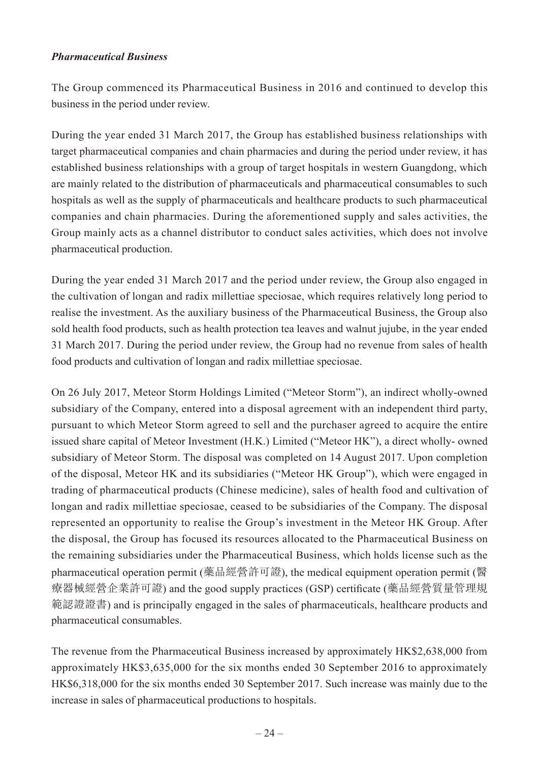#### *Pharmaceutical Business*

The Group commenced its Pharmaceutical Business in 2016 and continued to develop this business in the period under review.

During the year ended 31 March 2017, the Group has established business relationships with target pharmaceutical companies and chain pharmacies and during the period under review, it has established business relationships with a group of target hospitals in western Guangdong, which are mainly related to the distribution of pharmaceuticals and pharmaceutical consumables to such hospitals as well as the supply of pharmaceuticals and healthcare products to such pharmaceutical companies and chain pharmacies. During the aforementioned supply and sales activities, the Group mainly acts as a channel distributor to conduct sales activities, which does not involve pharmaceutical production.

During the year ended 31 March 2017 and the period under review, the Group also engaged in the cultivation of longan and radix millettiae speciosae, which requires relatively long period to realise the investment. As the auxiliary business of the Pharmaceutical Business, the Group also sold health food products, such as health protection tea leaves and walnut jujube, in the year ended 31 March 2017. During the period under review, the Group had no revenue from sales of health food products and cultivation of longan and radix millettiae speciosae.

On 26 July 2017, Meteor Storm Holdings Limited ("Meteor Storm"), an indirect wholly-owned subsidiary of the Company, entered into a disposal agreement with an independent third party, pursuant to which Meteor Storm agreed to sell and the purchaser agreed to acquire the entire issued share capital of Meteor Investment (H.K.) Limited ("Meteor HK"), a direct wholly- owned subsidiary of Meteor Storm. The disposal was completed on 14 August 2017. Upon completion of the disposal, Meteor HK and its subsidiaries ("Meteor HK Group"), which were engaged in trading of pharmaceutical products (Chinese medicine), sales of health food and cultivation of longan and radix millettiae speciosae, ceased to be subsidiaries of the Company. The disposal represented an opportunity to realise the Group's investment in the Meteor HK Group. After the disposal, the Group has focused its resources allocated to the Pharmaceutical Business on the remaining subsidiaries under the Pharmaceutical Business, which holds license such as the pharmaceutical operation permit (藥品經營許可證), the medical equipment operation permit (醫 療器械經營企業許可證) and the good supply practices (GSP) certificate (藥品經營質量管理規 範認證證書) and is principally engaged in the sales of pharmaceuticals, healthcare products and pharmaceutical consumables.

The revenue from the Pharmaceutical Business increased by approximately HK\$2,638,000 from approximately HK\$3,635,000 for the six months ended 30 September 2016 to approximately HK\$6,318,000 for the six months ended 30 September 2017. Such increase was mainly due to the increase in sales of pharmaceutical productions to hospitals.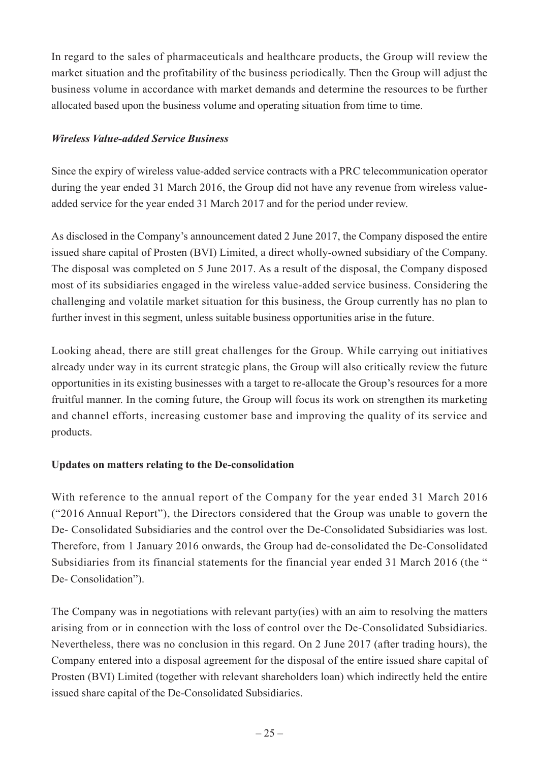In regard to the sales of pharmaceuticals and healthcare products, the Group will review the market situation and the profitability of the business periodically. Then the Group will adjust the business volume in accordance with market demands and determine the resources to be further allocated based upon the business volume and operating situation from time to time.

#### *Wireless Value-added Service Business*

Since the expiry of wireless value-added service contracts with a PRC telecommunication operator during the year ended 31 March 2016, the Group did not have any revenue from wireless valueadded service for the year ended 31 March 2017 and for the period under review.

As disclosed in the Company's announcement dated 2 June 2017, the Company disposed the entire issued share capital of Prosten (BVI) Limited, a direct wholly-owned subsidiary of the Company. The disposal was completed on 5 June 2017. As a result of the disposal, the Company disposed most of its subsidiaries engaged in the wireless value-added service business. Considering the challenging and volatile market situation for this business, the Group currently has no plan to further invest in this segment, unless suitable business opportunities arise in the future.

Looking ahead, there are still great challenges for the Group. While carrying out initiatives already under way in its current strategic plans, the Group will also critically review the future opportunities in its existing businesses with a target to re-allocate the Group's resources for a more fruitful manner. In the coming future, the Group will focus its work on strengthen its marketing and channel efforts, increasing customer base and improving the quality of its service and products.

### **Updates on matters relating to the De-consolidation**

With reference to the annual report of the Company for the year ended 31 March 2016 ("2016 Annual Report"), the Directors considered that the Group was unable to govern the De- Consolidated Subsidiaries and the control over the De-Consolidated Subsidiaries was lost. Therefore, from 1 January 2016 onwards, the Group had de-consolidated the De-Consolidated Subsidiaries from its financial statements for the financial year ended 31 March 2016 (the " De- Consolidation").

The Company was in negotiations with relevant party(ies) with an aim to resolving the matters arising from or in connection with the loss of control over the De-Consolidated Subsidiaries. Nevertheless, there was no conclusion in this regard. On 2 June 2017 (after trading hours), the Company entered into a disposal agreement for the disposal of the entire issued share capital of Prosten (BVI) Limited (together with relevant shareholders loan) which indirectly held the entire issued share capital of the De-Consolidated Subsidiaries.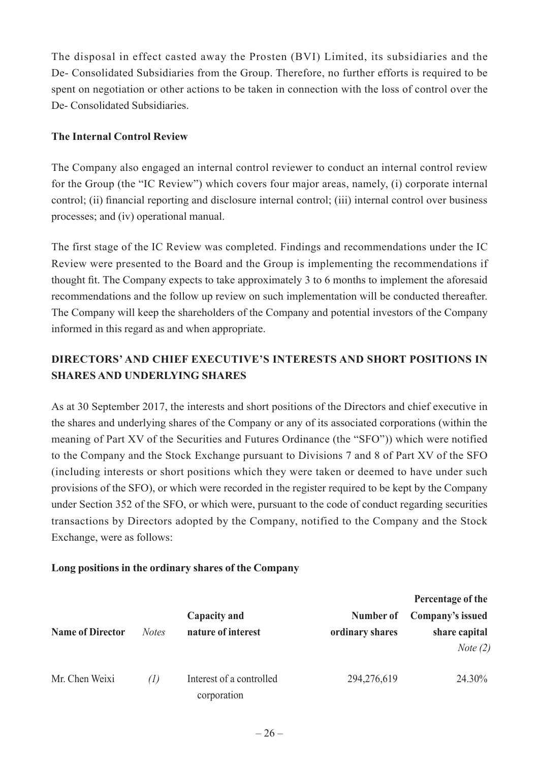The disposal in effect casted away the Prosten (BVI) Limited, its subsidiaries and the De- Consolidated Subsidiaries from the Group. Therefore, no further efforts is required to be spent on negotiation or other actions to be taken in connection with the loss of control over the De- Consolidated Subsidiaries.

### **The Internal Control Review**

The Company also engaged an internal control reviewer to conduct an internal control review for the Group (the "IC Review") which covers four major areas, namely, (i) corporate internal control; (ii) financial reporting and disclosure internal control; (iii) internal control over business processes; and (iv) operational manual.

The first stage of the IC Review was completed. Findings and recommendations under the IC Review were presented to the Board and the Group is implementing the recommendations if thought fit. The Company expects to take approximately 3 to 6 months to implement the aforesaid recommendations and the follow up review on such implementation will be conducted thereafter. The Company will keep the shareholders of the Company and potential investors of the Company informed in this regard as and when appropriate.

## **DIRECTORS' AND CHIEF EXECUTIVE'S INTERESTS AND SHORT POSITIONS IN SHARES AND UNDERLYING SHARES**

As at 30 September 2017, the interests and short positions of the Directors and chief executive in the shares and underlying shares of the Company or any of its associated corporations (within the meaning of Part XV of the Securities and Futures Ordinance (the "SFO")) which were notified to the Company and the Stock Exchange pursuant to Divisions 7 and 8 of Part XV of the SFO (including interests or short positions which they were taken or deemed to have under such provisions of the SFO), or which were recorded in the register required to be kept by the Company under Section 352 of the SFO, or which were, pursuant to the code of conduct regarding securities transactions by Directors adopted by the Company, notified to the Company and the Stock Exchange, were as follows:

### **Long positions in the ordinary shares of the Company**

|                         |              |                                         |                 | Percentage of the                  |
|-------------------------|--------------|-----------------------------------------|-----------------|------------------------------------|
|                         |              | Capacity and                            | Number of       | Company's issued                   |
| <b>Name of Director</b> | <i>Notes</i> | nature of interest                      | ordinary shares | share capital<br><i>Note</i> $(2)$ |
| Mr. Chen Weixi          | (1)          | Interest of a controlled<br>corporation | 294,276,619     | 24.30%                             |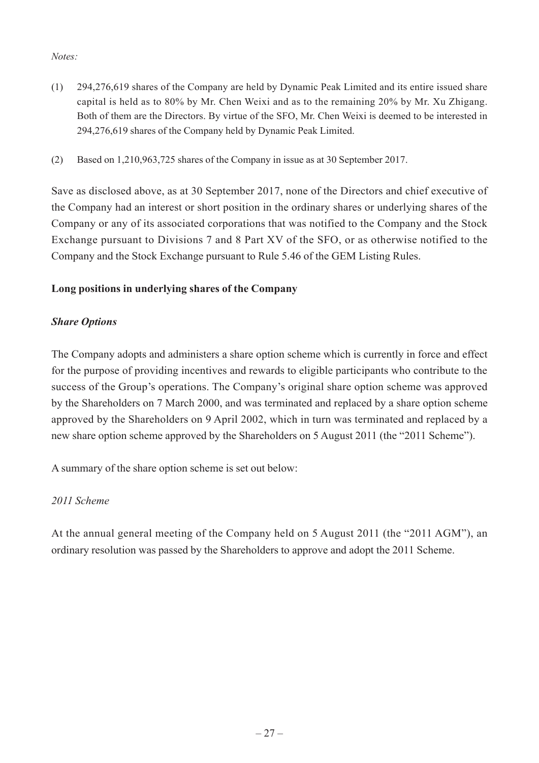#### *Notes:*

- (1) 294,276,619 shares of the Company are held by Dynamic Peak Limited and its entire issued share capital is held as to 80% by Mr. Chen Weixi and as to the remaining 20% by Mr. Xu Zhigang. Both of them are the Directors. By virtue of the SFO, Mr. Chen Weixi is deemed to be interested in 294,276,619 shares of the Company held by Dynamic Peak Limited.
- (2) Based on 1,210,963,725 shares of the Company in issue as at 30 September 2017.

Save as disclosed above, as at 30 September 2017, none of the Directors and chief executive of the Company had an interest or short position in the ordinary shares or underlying shares of the Company or any of its associated corporations that was notified to the Company and the Stock Exchange pursuant to Divisions 7 and 8 Part XV of the SFO, or as otherwise notified to the Company and the Stock Exchange pursuant to Rule 5.46 of the GEM Listing Rules.

## **Long positions in underlying shares of the Company**

## *Share Options*

The Company adopts and administers a share option scheme which is currently in force and effect for the purpose of providing incentives and rewards to eligible participants who contribute to the success of the Group's operations. The Company's original share option scheme was approved by the Shareholders on 7 March 2000, and was terminated and replaced by a share option scheme approved by the Shareholders on 9 April 2002, which in turn was terminated and replaced by a new share option scheme approved by the Shareholders on 5 August 2011 (the "2011 Scheme").

A summary of the share option scheme is set out below:

### *2011 Scheme*

At the annual general meeting of the Company held on 5 August 2011 (the "2011 AGM"), an ordinary resolution was passed by the Shareholders to approve and adopt the 2011 Scheme.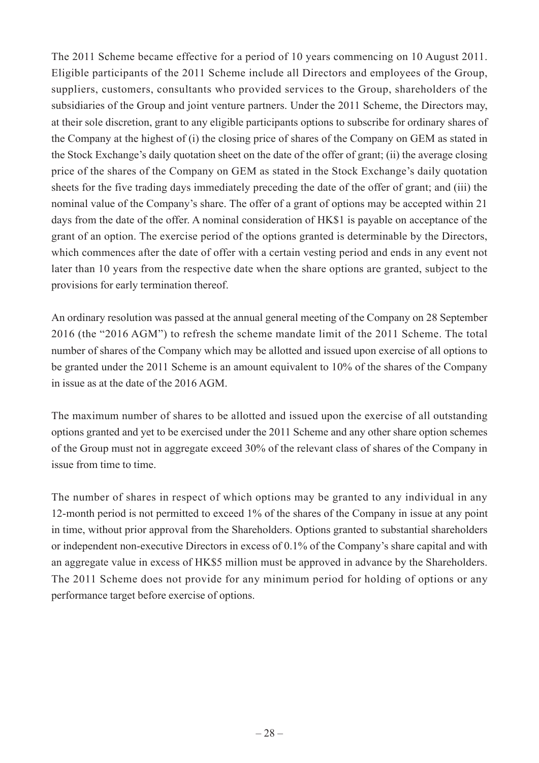The 2011 Scheme became effective for a period of 10 years commencing on 10 August 2011. Eligible participants of the 2011 Scheme include all Directors and employees of the Group, suppliers, customers, consultants who provided services to the Group, shareholders of the subsidiaries of the Group and joint venture partners. Under the 2011 Scheme, the Directors may, at their sole discretion, grant to any eligible participants options to subscribe for ordinary shares of the Company at the highest of (i) the closing price of shares of the Company on GEM as stated in the Stock Exchange's daily quotation sheet on the date of the offer of grant; (ii) the average closing price of the shares of the Company on GEM as stated in the Stock Exchange's daily quotation sheets for the five trading days immediately preceding the date of the offer of grant; and (iii) the nominal value of the Company's share. The offer of a grant of options may be accepted within 21 days from the date of the offer. A nominal consideration of HK\$1 is payable on acceptance of the grant of an option. The exercise period of the options granted is determinable by the Directors, which commences after the date of offer with a certain vesting period and ends in any event not later than 10 years from the respective date when the share options are granted, subject to the provisions for early termination thereof.

An ordinary resolution was passed at the annual general meeting of the Company on 28 September 2016 (the "2016 AGM") to refresh the scheme mandate limit of the 2011 Scheme. The total number of shares of the Company which may be allotted and issued upon exercise of all options to be granted under the 2011 Scheme is an amount equivalent to 10% of the shares of the Company in issue as at the date of the 2016 AGM.

The maximum number of shares to be allotted and issued upon the exercise of all outstanding options granted and yet to be exercised under the 2011 Scheme and any other share option schemes of the Group must not in aggregate exceed 30% of the relevant class of shares of the Company in issue from time to time.

The number of shares in respect of which options may be granted to any individual in any 12-month period is not permitted to exceed 1% of the shares of the Company in issue at any point in time, without prior approval from the Shareholders. Options granted to substantial shareholders or independent non-executive Directors in excess of 0.1% of the Company's share capital and with an aggregate value in excess of HK\$5 million must be approved in advance by the Shareholders. The 2011 Scheme does not provide for any minimum period for holding of options or any performance target before exercise of options.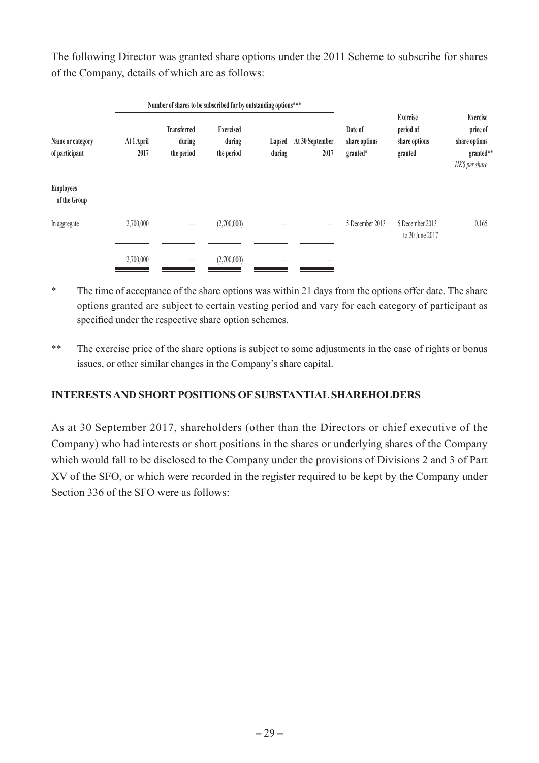The following Director was granted share options under the 2011 Scheme to subscribe for shares of the Company, details of which are as follows:

|                                    | Number of shares to be subscribed for by outstanding options*** |                                            |                                          |                  |                         |                                      |                                                          |                                                                             |
|------------------------------------|-----------------------------------------------------------------|--------------------------------------------|------------------------------------------|------------------|-------------------------|--------------------------------------|----------------------------------------------------------|-----------------------------------------------------------------------------|
| Name or category<br>of participant | At 1 April<br>2017                                              | <b>Transferred</b><br>during<br>the period | <b>Exercised</b><br>during<br>the period | Lapsed<br>during | At 30 September<br>2017 | Date of<br>share options<br>granted* | <b>Exercise</b><br>period of<br>share options<br>granted | <b>Exercise</b><br>price of<br>share options<br>granted**<br>HK\$ per share |
| <b>Employees</b><br>of the Group   |                                                                 |                                            |                                          |                  |                         |                                      |                                                          |                                                                             |
| In aggregate                       | 2,700,000                                                       |                                            | (2,700,000)                              |                  |                         | 5 December 2013                      | 5 December 2013<br>to 20 June 2017                       | 0.165                                                                       |
|                                    | 2,700,000                                                       |                                            | (2,700,000)                              |                  |                         |                                      |                                                          |                                                                             |

\* The time of acceptance of the share options was within 21 days from the options offer date. The share options granted are subject to certain vesting period and vary for each category of participant as specified under the respective share option schemes.

\*\* The exercise price of the share options is subject to some adjustments in the case of rights or bonus issues, or other similar changes in the Company's share capital.

## **INTERESTS AND SHORT POSITIONS OF SUBSTANTIAL SHAREHOLDERS**

As at 30 September 2017, shareholders (other than the Directors or chief executive of the Company) who had interests or short positions in the shares or underlying shares of the Company which would fall to be disclosed to the Company under the provisions of Divisions 2 and 3 of Part XV of the SFO, or which were recorded in the register required to be kept by the Company under Section 336 of the SFO were as follows: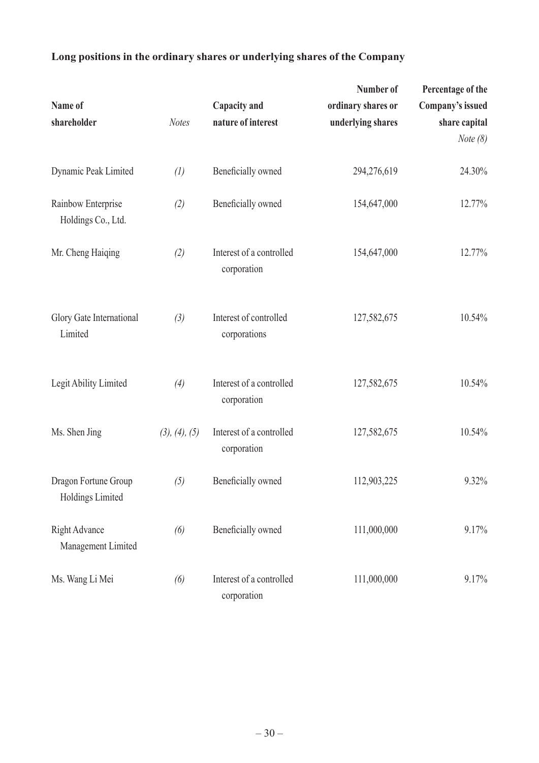# **Long positions in the ordinary shares or underlying shares of the Company**

| Name of<br>shareholder                   | <b>Notes</b>  | Capacity and<br>nature of interest      | Number of<br>ordinary shares or<br>underlying shares | Percentage of the<br>Company's issued<br>share capital<br><i>Note</i> $(8)$ |
|------------------------------------------|---------------|-----------------------------------------|------------------------------------------------------|-----------------------------------------------------------------------------|
| Dynamic Peak Limited                     | (1)           | Beneficially owned                      | 294,276,619                                          | 24.30%                                                                      |
| Rainbow Enterprise<br>Holdings Co., Ltd. | (2)           | Beneficially owned                      | 154,647,000                                          | 12.77%                                                                      |
| Mr. Cheng Haiqing                        | (2)           | Interest of a controlled<br>corporation | 154,647,000                                          | 12.77%                                                                      |
| Glory Gate International<br>Limited      | (3)           | Interest of controlled<br>corporations  | 127,582,675                                          | 10.54%                                                                      |
| Legit Ability Limited                    | (4)           | Interest of a controlled<br>corporation | 127,582,675                                          | 10.54%                                                                      |
| Ms. Shen Jing                            | (3), (4), (5) | Interest of a controlled<br>corporation | 127,582,675                                          | 10.54%                                                                      |
| Dragon Fortune Group<br>Holdings Limited | (5)           | Beneficially owned                      | 112,903,225                                          | 9.32%                                                                       |
| Right Advance<br>Management Limited      | (6)           | Beneficially owned                      | 111,000,000                                          | 9.17%                                                                       |
| Ms. Wang Li Mei                          | (6)           | Interest of a controlled<br>corporation | 111,000,000                                          | 9.17%                                                                       |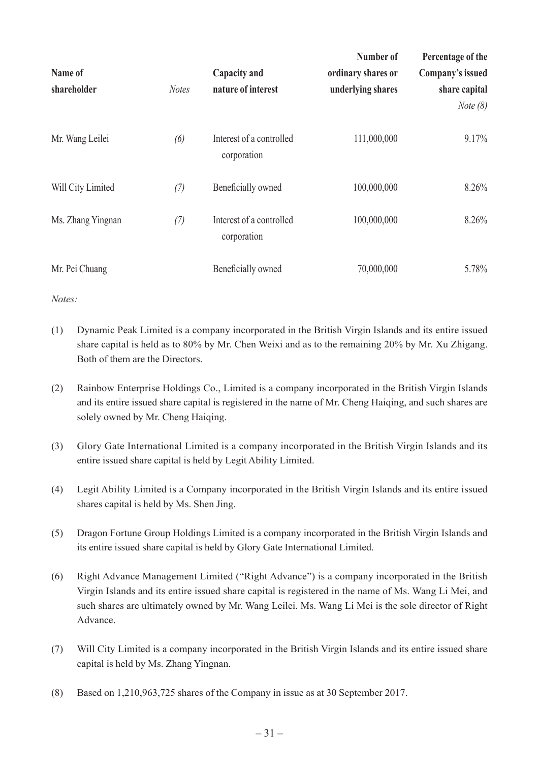| Name of<br>shareholder | <b>Notes</b> | Capacity and<br>nature of interest      | Number of<br>ordinary shares or<br>underlying shares | Percentage of the<br>Company's issued<br>share capital |
|------------------------|--------------|-----------------------------------------|------------------------------------------------------|--------------------------------------------------------|
|                        |              |                                         |                                                      | <i>Note</i> $(8)$                                      |
| Mr. Wang Leilei        | (6)          | Interest of a controlled<br>corporation | 111,000,000                                          | 9.17%                                                  |
| Will City Limited      | (7)          | Beneficially owned                      | 100,000,000                                          | 8.26%                                                  |
| Ms. Zhang Yingnan      | (7)          | Interest of a controlled<br>corporation | 100,000,000                                          | 8.26%                                                  |
| Mr. Pei Chuang         |              | Beneficially owned                      | 70,000,000                                           | 5.78%                                                  |

*Notes:*

- (1) Dynamic Peak Limited is a company incorporated in the British Virgin Islands and its entire issued share capital is held as to 80% by Mr. Chen Weixi and as to the remaining 20% by Mr. Xu Zhigang. Both of them are the Directors.
- (2) Rainbow Enterprise Holdings Co., Limited is a company incorporated in the British Virgin Islands and its entire issued share capital is registered in the name of Mr. Cheng Haiqing, and such shares are solely owned by Mr. Cheng Haiqing.
- (3) Glory Gate International Limited is a company incorporated in the British Virgin Islands and its entire issued share capital is held by Legit Ability Limited.
- (4) Legit Ability Limited is a Company incorporated in the British Virgin Islands and its entire issued shares capital is held by Ms. Shen Jing.
- (5) Dragon Fortune Group Holdings Limited is a company incorporated in the British Virgin Islands and its entire issued share capital is held by Glory Gate International Limited.
- (6) Right Advance Management Limited ("Right Advance") is a company incorporated in the British Virgin Islands and its entire issued share capital is registered in the name of Ms. Wang Li Mei, and such shares are ultimately owned by Mr. Wang Leilei. Ms. Wang Li Mei is the sole director of Right Advance.
- (7) Will City Limited is a company incorporated in the British Virgin Islands and its entire issued share capital is held by Ms. Zhang Yingnan.
- (8) Based on 1,210,963,725 shares of the Company in issue as at 30 September 2017.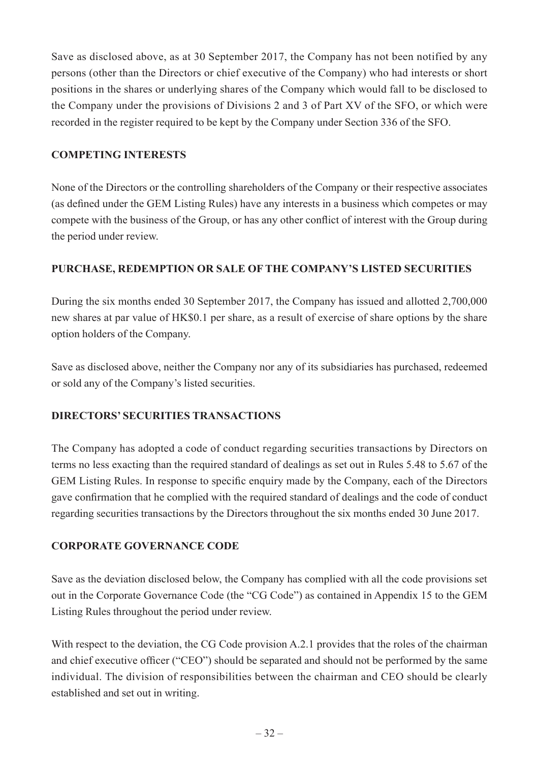Save as disclosed above, as at 30 September 2017, the Company has not been notified by any persons (other than the Directors or chief executive of the Company) who had interests or short positions in the shares or underlying shares of the Company which would fall to be disclosed to the Company under the provisions of Divisions 2 and 3 of Part XV of the SFO, or which were recorded in the register required to be kept by the Company under Section 336 of the SFO.

#### **COMPETING INTERESTS**

None of the Directors or the controlling shareholders of the Company or their respective associates (as defined under the GEM Listing Rules) have any interests in a business which competes or may compete with the business of the Group, or has any other conflict of interest with the Group during the period under review.

### **PURCHASE, REDEMPTION OR SALE OF THE COMPANY'S LISTED SECURITIES**

During the six months ended 30 September 2017, the Company has issued and allotted 2,700,000 new shares at par value of HK\$0.1 per share, as a result of exercise of share options by the share option holders of the Company.

Save as disclosed above, neither the Company nor any of its subsidiaries has purchased, redeemed or sold any of the Company's listed securities.

### **DIRECTORS' SECURITIES TRANSACTIONS**

The Company has adopted a code of conduct regarding securities transactions by Directors on terms no less exacting than the required standard of dealings as set out in Rules 5.48 to 5.67 of the GEM Listing Rules. In response to specific enquiry made by the Company, each of the Directors gave confirmation that he complied with the required standard of dealings and the code of conduct regarding securities transactions by the Directors throughout the six months ended 30 June 2017.

### **CORPORATE GOVERNANCE CODE**

Save as the deviation disclosed below, the Company has complied with all the code provisions set out in the Corporate Governance Code (the "CG Code") as contained in Appendix 15 to the GEM Listing Rules throughout the period under review.

With respect to the deviation, the CG Code provision A.2.1 provides that the roles of the chairman and chief executive officer ("CEO") should be separated and should not be performed by the same individual. The division of responsibilities between the chairman and CEO should be clearly established and set out in writing.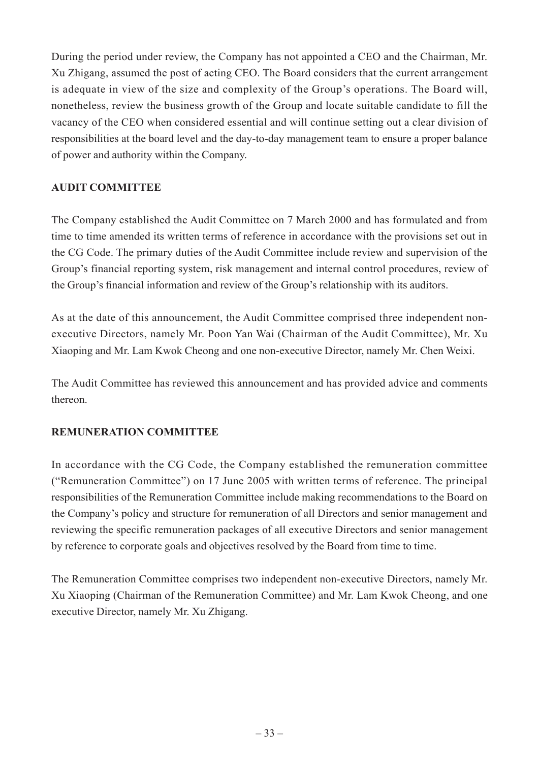During the period under review, the Company has not appointed a CEO and the Chairman, Mr. Xu Zhigang, assumed the post of acting CEO. The Board considers that the current arrangement is adequate in view of the size and complexity of the Group's operations. The Board will, nonetheless, review the business growth of the Group and locate suitable candidate to fill the vacancy of the CEO when considered essential and will continue setting out a clear division of responsibilities at the board level and the day-to-day management team to ensure a proper balance of power and authority within the Company.

## **AUDIT COMMITTEE**

The Company established the Audit Committee on 7 March 2000 and has formulated and from time to time amended its written terms of reference in accordance with the provisions set out in the CG Code. The primary duties of the Audit Committee include review and supervision of the Group's financial reporting system, risk management and internal control procedures, review of the Group's financial information and review of the Group's relationship with its auditors.

As at the date of this announcement, the Audit Committee comprised three independent nonexecutive Directors, namely Mr. Poon Yan Wai (Chairman of the Audit Committee), Mr. Xu Xiaoping and Mr. Lam Kwok Cheong and one non-executive Director, namely Mr. Chen Weixi.

The Audit Committee has reviewed this announcement and has provided advice and comments thereon.

### **REMUNERATION COMMITTEE**

In accordance with the CG Code, the Company established the remuneration committee ("Remuneration Committee") on 17 June 2005 with written terms of reference. The principal responsibilities of the Remuneration Committee include making recommendations to the Board on the Company's policy and structure for remuneration of all Directors and senior management and reviewing the specific remuneration packages of all executive Directors and senior management by reference to corporate goals and objectives resolved by the Board from time to time.

The Remuneration Committee comprises two independent non-executive Directors, namely Mr. Xu Xiaoping (Chairman of the Remuneration Committee) and Mr. Lam Kwok Cheong, and one executive Director, namely Mr. Xu Zhigang.